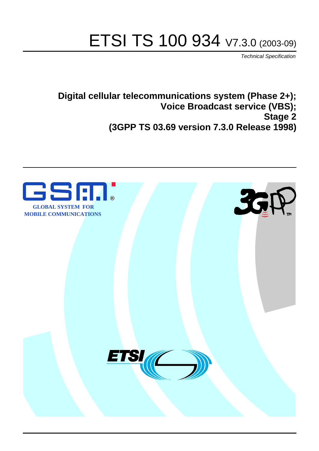# ETSI TS 100 934 V7.3.0 (2003-09)

Technical Specification

**Digital cellular telecommunications system (Phase 2+); Voice Broadcast service (VBS); Stage 2 (3GPP TS 03.69 version 7.3.0 Release 1998)**

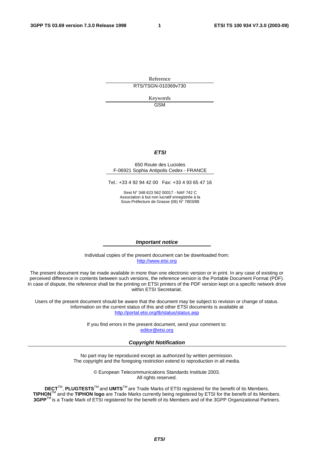Reference RTS/TSGN-010369v730

> Keywords GSM

#### **ETSI**

#### 650 Route des Lucioles F-06921 Sophia Antipolis Cedex - FRANCE

Tel.: +33 4 92 94 42 00 Fax: +33 4 93 65 47 16

Siret N° 348 623 562 00017 - NAF 742 C Association à but non lucratif enregistrée à la Sous-Préfecture de Grasse (06) N° 7803/88

#### **Important notice**

Individual copies of the present document can be downloaded from: [http://www.etsi.org](http://www.etsi.org/)

The present document may be made available in more than one electronic version or in print. In any case of existing or perceived difference in contents between such versions, the reference version is the Portable Document Format (PDF). In case of dispute, the reference shall be the printing on ETSI printers of the PDF version kept on a specific network drive within ETSI Secretariat.

Users of the present document should be aware that the document may be subject to revision or change of status. Information on the current status of this and other ETSI documents is available at <http://portal.etsi.org/tb/status/status.asp>

> If you find errors in the present document, send your comment to: [editor@etsi.org](mailto:editor@etsi.org)

#### **Copyright Notification**

No part may be reproduced except as authorized by written permission. The copyright and the foregoing restriction extend to reproduction in all media.

> © European Telecommunications Standards Institute 2003. All rights reserved.

**DECT**TM, **PLUGTESTS**TM and **UMTS**TM are Trade Marks of ETSI registered for the benefit of its Members. **TIPHON**TM and the **TIPHON logo** are Trade Marks currently being registered by ETSI for the benefit of its Members. **3GPP**TM is a Trade Mark of ETSI registered for the benefit of its Members and of the 3GPP Organizational Partners.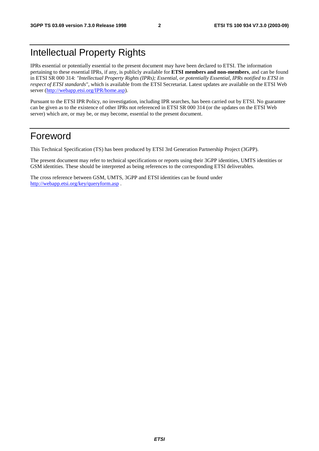# Intellectual Property Rights

IPRs essential or potentially essential to the present document may have been declared to ETSI. The information pertaining to these essential IPRs, if any, is publicly available for **ETSI members and non-members**, and can be found in ETSI SR 000 314: *"Intellectual Property Rights (IPRs); Essential, or potentially Essential, IPRs notified to ETSI in respect of ETSI standards"*, which is available from the ETSI Secretariat. Latest updates are available on the ETSI Web server (<http://webapp.etsi.org/IPR/home.asp>).

Pursuant to the ETSI IPR Policy, no investigation, including IPR searches, has been carried out by ETSI. No guarantee can be given as to the existence of other IPRs not referenced in ETSI SR 000 314 (or the updates on the ETSI Web server) which are, or may be, or may become, essential to the present document.

## Foreword

This Technical Specification (TS) has been produced by ETSI 3rd Generation Partnership Project (3GPP).

The present document may refer to technical specifications or reports using their 3GPP identities, UMTS identities or GSM identities. These should be interpreted as being references to the corresponding ETSI deliverables.

The cross reference between GSM, UMTS, 3GPP and ETSI identities can be found under <http://webapp.etsi.org/key/queryform.asp> .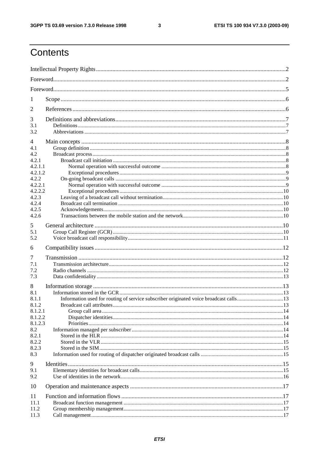$\mathbf{3}$ 

# Contents

| 1                |                                                                                       |  |
|------------------|---------------------------------------------------------------------------------------|--|
| $\overline{2}$   |                                                                                       |  |
| 3                |                                                                                       |  |
| 3.1              |                                                                                       |  |
| 3.2              |                                                                                       |  |
| 4                |                                                                                       |  |
| 4.1<br>4.2       |                                                                                       |  |
| 4.2.1            |                                                                                       |  |
| 4.2.1.1          |                                                                                       |  |
| 4.2.1.2          |                                                                                       |  |
| 4.2.2            |                                                                                       |  |
| 4.2.2.1          |                                                                                       |  |
| 4.2.2.2          |                                                                                       |  |
| 4.2.3<br>4.2.4   |                                                                                       |  |
| 4.2.5            |                                                                                       |  |
| 4.2.6            |                                                                                       |  |
|                  |                                                                                       |  |
| 5<br>5.1         |                                                                                       |  |
| 5.2              |                                                                                       |  |
|                  |                                                                                       |  |
|                  |                                                                                       |  |
| 6                |                                                                                       |  |
| 7                |                                                                                       |  |
| 7.1              |                                                                                       |  |
| 7.2              |                                                                                       |  |
| 7.3              |                                                                                       |  |
| 8                |                                                                                       |  |
| 8.1              |                                                                                       |  |
| 8.1.1            | Information used for routing of service subscriber originated voice broadcast calls13 |  |
| 8.1.2<br>8.1.2.1 |                                                                                       |  |
| 8.1.2.2          |                                                                                       |  |
| 8.1.2.3          |                                                                                       |  |
| 8.2              |                                                                                       |  |
| 8.2.1            |                                                                                       |  |
| 8.2.2            |                                                                                       |  |
| 8.2.3            |                                                                                       |  |
| 8.3              |                                                                                       |  |
| 9                |                                                                                       |  |
| 9.1              |                                                                                       |  |
| 9.2              |                                                                                       |  |
| 10               |                                                                                       |  |
| 11               |                                                                                       |  |
| 11.1             |                                                                                       |  |
| 11.2<br>11.3     |                                                                                       |  |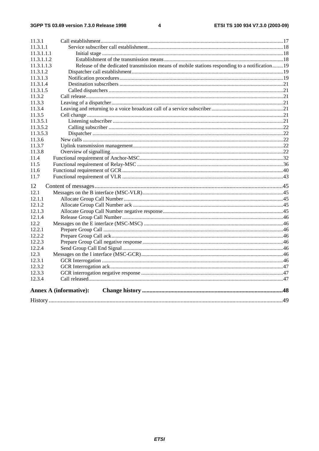#### $\overline{\mathbf{4}}$

| 11.3.1                                                                                                       |  |
|--------------------------------------------------------------------------------------------------------------|--|
| 11.3.1.1                                                                                                     |  |
| 11.3.1.1.1                                                                                                   |  |
| 11.3.1.1.2                                                                                                   |  |
| Release of the dedicated transmission means of mobile stations responding to a notification 19<br>11.3.1.1.3 |  |
| 11.3.1.2                                                                                                     |  |
| 11.3.1.3                                                                                                     |  |
| 11.3.1.4                                                                                                     |  |
| 11.3.1.5                                                                                                     |  |
| 11.3.2                                                                                                       |  |
| 11.3.3                                                                                                       |  |
| 11.3.4                                                                                                       |  |
| 11.3.5                                                                                                       |  |
| 11.3.5.1                                                                                                     |  |
| 11.3.5.2                                                                                                     |  |
| 11.3.5.3                                                                                                     |  |
| 11.3.6                                                                                                       |  |
| 11.3.7                                                                                                       |  |
| 11.3.8                                                                                                       |  |
| 11.4                                                                                                         |  |
| 11.5                                                                                                         |  |
| 11.6                                                                                                         |  |
| 11.7                                                                                                         |  |
| 12                                                                                                           |  |
| 12.1                                                                                                         |  |
| 12.1.1                                                                                                       |  |
| 12.1.2                                                                                                       |  |
| 12.1.3                                                                                                       |  |
| 12.1.4                                                                                                       |  |
| 12.2                                                                                                         |  |
| 12.2.1                                                                                                       |  |
| 12.2.2                                                                                                       |  |
| 12.2.3                                                                                                       |  |
| 12.2.4                                                                                                       |  |
| 12.3                                                                                                         |  |
| 12.3.1                                                                                                       |  |
| 12.3.2                                                                                                       |  |
| 12.3.3                                                                                                       |  |
| 12.3.4                                                                                                       |  |
| <b>Annex A (informative):</b>                                                                                |  |
|                                                                                                              |  |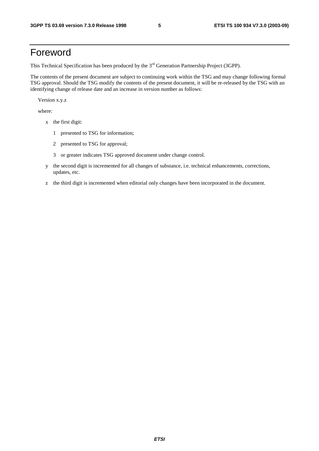## Foreword

This Technical Specification has been produced by the 3<sup>rd</sup> Generation Partnership Project (3GPP).

The contents of the present document are subject to continuing work within the TSG and may change following formal TSG approval. Should the TSG modify the contents of the present document, it will be re-released by the TSG with an identifying change of release date and an increase in version number as follows:

Version x.y.z

where:

- x the first digit:
	- 1 presented to TSG for information;
	- 2 presented to TSG for approval;
	- 3 or greater indicates TSG approved document under change control.
- y the second digit is incremented for all changes of substance, i.e. technical enhancements, corrections, updates, etc.
- z the third digit is incremented when editorial only changes have been incorporated in the document.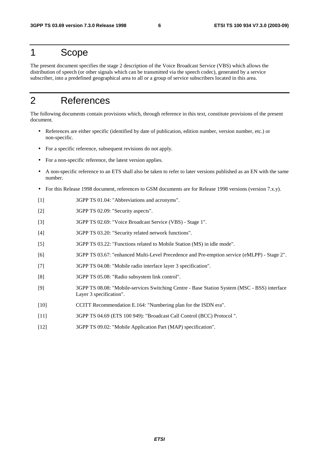## 1 Scope

The present document specifies the stage 2 description of the Voice Broadcast Service (VBS) which allows the distribution of speech (or other signals which can be transmitted via the speech codec), generated by a service subscriber, into a predefined geographical area to all or a group of service subscribers located in this area.

## 2 References

The following documents contain provisions which, through reference in this text, constitute provisions of the present document.

- References are either specific (identified by date of publication, edition number, version number, etc.) or non-specific.
- For a specific reference, subsequent revisions do not apply.
- For a non-specific reference, the latest version applies.
- A non-specific reference to an ETS shall also be taken to refer to later versions published as an EN with the same number.
- For this Release 1998 document, references to GSM documents are for Release 1998 versions (version 7.x.y).
- [1] 3GPP TS 01.04: "Abbreviations and acronyms".
- [2] 3GPP TS 02.09: "Security aspects".
- [3] 3GPP TS 02.69: "Voice Broadcast Service (VBS) Stage 1".
- [4] 3GPP TS 03.20: "Security related network functions".
- [5] 3GPP TS 03.22: "Functions related to Mobile Station (MS) in idle mode".
- [6] 3GPP TS 03.67: "enhanced Multi-Level Precedence and Pre-emption service (eMLPP) Stage 2".
- [7] 3GPP TS 04.08: "Mobile radio interface layer 3 specification".
- [8] 3GPP TS 05.08: "Radio subsystem link control".
- [9] 3GPP TS 08.08: "Mobile-services Switching Centre Base Station System (MSC BSS) interface Layer 3 specification".
- [10] CCITT Recommendation E.164: "Numbering plan for the ISDN era".
- [11] 3GPP TS 04.69 (ETS 100 949): "Broadcast Call Control (BCC) Protocol ".
- [12] 3GPP TS 09.02: "Mobile Application Part (MAP) specification".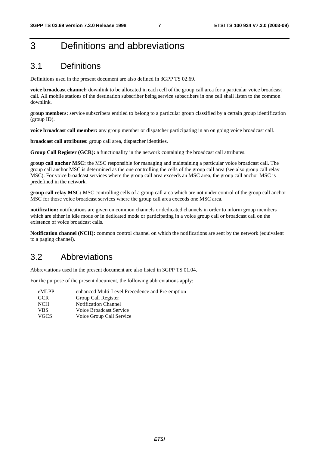# 3 Definitions and abbreviations

## 3.1 Definitions

Definitions used in the present document are also defined in 3GPP TS 02.69.

**voice broadcast channel:** downlink to be allocated in each cell of the group call area for a particular voice broadcast call. All mobile stations of the destination subscriber being service subscribers in one cell shall listen to the common downlink.

**group members:** service subscribers entitled to belong to a particular group classified by a certain group identification (group ID).

**voice broadcast call member:** any group member or dispatcher participating in an on going voice broadcast call.

**broadcast call attributes:** group call area, dispatcher identities.

**Group Call Register (GCR):** a functionality in the network containing the broadcast call attributes.

**group call anchor MSC:** the MSC responsible for managing and maintaining a particular voice broadcast call. The group call anchor MSC is determined as the one controlling the cells of the group call area (see also group call relay MSC). For voice broadcast services where the group call area exceeds an MSC area, the group call anchor MSC is predefined in the network.

**group call relay MSC:** MSC controlling cells of a group call area which are not under control of the group call anchor MSC for those voice broadcast services where the group call area exceeds one MSC area.

**notification:** notifications are given on common channels or dedicated channels in order to inform group members which are either in idle mode or in dedicated mode or participating in a voice group call or broadcast call on the existence of voice broadcast calls.

**Notification channel (NCH):** common control channel on which the notifications are sent by the network (equivalent to a paging channel).

## 3.2 Abbreviations

Abbreviations used in the present document are also listed in 3GPP TS 01.04.

For the purpose of the present document, the following abbreviations apply:

| eMLPP       | enhanced Multi-Level Precedence and Pre-emption |
|-------------|-------------------------------------------------|
| <b>GCR</b>  | Group Call Register                             |
| <b>NCH</b>  | <b>Notification Channel</b>                     |
| <b>VBS</b>  | Voice Broadcast Service                         |
| <b>VGCS</b> | Voice Group Call Service                        |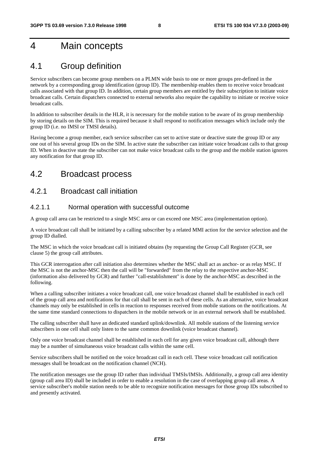## 4 Main concepts

## 4.1 Group definition

Service subscribers can become group members on a PLMN wide basis to one or more groups pre-defined in the network by a corresponding group identification (group ID). The membership enables them to receive voice broadcast calls associated with that group ID. In addition, certain group members are entitled by their subscription to initiate voice broadcast calls. Certain dispatchers connected to external networks also require the capability to initiate or receive voice broadcast calls.

In addition to subscriber details in the HLR, it is necessary for the mobile station to be aware of its group membership by storing details on the SIM. This is required because it shall respond to notification messages which include only the group ID (i.e. no IMSI or TMSI details).

Having become a group member, each service subscriber can set to active state or deactive state the group ID or any one out of his several group IDs on the SIM. In active state the subscriber can initiate voice broadcast calls to that group ID. When in deactive state the subscriber can not make voice broadcast calls to the group and the mobile station ignores any notification for that group ID.

## 4.2 Broadcast process

## 4.2.1 Broadcast call initiation

### 4.2.1.1 Normal operation with successful outcome

A group call area can be restricted to a single MSC area or can exceed one MSC area (implementation option).

A voice broadcast call shall be initiated by a calling subscriber by a related MMI action for the service selection and the group ID dialled.

The MSC in which the voice broadcast call is initiated obtains (by requesting the Group Call Register (GCR, see clause 5) the group call attributes.

This GCR interrogation after call initiation also determines whether the MSC shall act as anchor- or as relay MSC. If the MSC is not the anchor-MSC then the call will be "forwarded" from the relay to the respective anchor-MSC (information also delivered by GCR) and further "call-establishment" is done by the anchor-MSC as described in the following.

When a calling subscriber initiates a voice broadcast call, one voice broadcast channel shall be established in each cell of the group call area and notifications for that call shall be sent in each of these cells. As an alternative, voice broadcast channels may only be established in cells in reaction to responses received from mobile stations on the notifications. At the same time standard connections to dispatchers in the mobile network or in an external network shall be established.

The calling subscriber shall have an dedicated standard uplink/downlink. All mobile stations of the listening service subscribers in one cell shall only listen to the same common downlink (voice broadcast channel).

Only one voice broadcast channel shall be established in each cell for any given voice broadcast call, although there may be a number of simultaneous voice broadcast calls within the same cell.

Service subscribers shall be notified on the voice broadcast call in each cell. These voice broadcast call notification messages shall be broadcast on the notification channel (NCH).

The notification messages use the group ID rather than individual TMSIs/IMSIs. Additionally, a group call area identity (group call area ID) shall be included in order to enable a resolution in the case of overlapping group call areas. A service subscriber's mobile station needs to be able to recognize notification messages for those group IDs subscribed to and presently activated.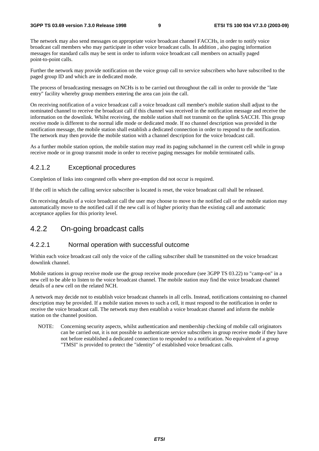The network may also send messages on appropriate voice broadcast channel FACCHs, in order to notify voice broadcast call members who may participate in other voice broadcast calls. In addition , also paging information messages for standard calls may be sent in order to inform voice broadcast call members on actually paged point-to-point calls.

Further the network may provide notification on the voice group call to service subscribers who have subscribed to the paged group ID and which are in dedicated mode.

The process of broadcasting messages on NCHs is to be carried out throughout the call in order to provide the "late entry" facility whereby group members entering the area can join the call.

On receiving notification of a voice broadcast call a voice broadcast call member's mobile station shall adjust to the nominated channel to receive the broadcast call if this channel was received in the notification message and receive the information on the downlink. Whilst receiving, the mobile station shall not transmit on the uplink SACCH. This group receive mode is different to the normal idle mode or dedicated mode. If no channel description was provided in the notification message, the mobile station shall establish a dedicated connection in order to respond to the notification. The network may then provide the mobile station with a channel description for the voice broadcast call.

As a further mobile station option, the mobile station may read its paging subchannel in the current cell while in group receive mode or in group transmit mode in order to receive paging messages for mobile terminated calls.

#### 4.2.1.2 Exceptional procedures

Completion of links into congested cells where pre-emption did not occur is required.

If the cell in which the calling service subscriber is located is reset, the voice broadcast call shall be released.

On receiving details of a voice broadcast call the user may choose to move to the notified call or the mobile station may automatically move to the notified call if the new call is of higher priority than the existing call and automatic acceptance applies for this priority level.

### 4.2.2 On-going broadcast calls

### 4.2.2.1 Normal operation with successful outcome

Within each voice broadcast call only the voice of the calling subscriber shall be transmitted on the voice broadcast downlink channel.

Mobile stations in group receive mode use the group receive mode procedure (see 3GPP TS 03.22) to "camp-on" in a new cell to be able to listen to the voice broadcast channel. The mobile station may find the voice broadcast channel details of a new cell on the related NCH.

A network may decide not to establish voice broadcast channels in all cells. Instead, notifications containing no channel description may be provided. If a mobile station moves to such a cell, it must respond to the notification in order to receive the voice broadcast call. The network may then establish a voice broadcast channel and inform the mobile station on the channel position.

NOTE: Concerning security aspects, whilst authentication and membership checking of mobile call originators can be carried out, it is not possible to authenticate service subscribers in group receive mode if they have not before established a dedicated connection to responded to a notification. No equivalent of a group "TMSI" is provided to protect the "identity" of established voice broadcast calls.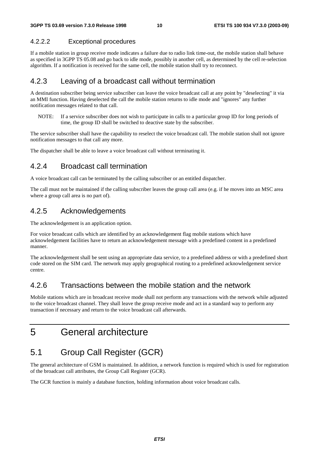### 4.2.2.2 Exceptional procedures

If a mobile station in group receive mode indicates a failure due to radio link time-out, the mobile station shall behave as specified in 3GPP TS 05.08 and go back to idle mode, possibly in another cell, as determined by the cell re-selection algorithm. If a notification is received for the same cell, the mobile station shall try to reconnect.

## 4.2.3 Leaving of a broadcast call without termination

A destination subscriber being service subscriber can leave the voice broadcast call at any point by "deselecting" it via an MMI function. Having deselected the call the mobile station returns to idle mode and "ignores" any further notification messages related to that call.

NOTE: If a service subscriber does not wish to participate in calls to a particular group ID for long periods of time, the group ID shall be switched to deactive state by the subscriber.

The service subscriber shall have the capability to reselect the voice broadcast call. The mobile station shall not ignore notification messages to that call any more.

The dispatcher shall be able to leave a voice broadcast call without terminating it.

## 4.2.4 Broadcast call termination

A voice broadcast call can be terminated by the calling subscriber or an entitled dispatcher.

The call must not be maintained if the calling subscriber leaves the group call area (e.g. if he moves into an MSC area where a group call area is no part of).

## 4.2.5 Acknowledgements

The acknowledgement is an application option.

For voice broadcast calls which are identified by an acknowledgement flag mobile stations which have acknowledgement facilities have to return an acknowledgement message with a predefined content in a predefined manner.

The acknowledgement shall be sent using an appropriate data service, to a predefined address or with a predefined short code stored on the SIM card. The network may apply geographical routing to a predefined acknowledgement service centre.

## 4.2.6 Transactions between the mobile station and the network

Mobile stations which are in broadcast receive mode shall not perform any transactions with the network while adjusted to the voice broadcast channel. They shall leave the group receive mode and act in a standard way to perform any transaction if necessary and return to the voice broadcast call afterwards.

## 5 General architecture

## 5.1 Group Call Register (GCR)

The general architecture of GSM is maintained. In addition, a network function is required which is used for registration of the broadcast call attributes, the Group Call Register (GCR).

The GCR function is mainly a database function, holding information about voice broadcast calls.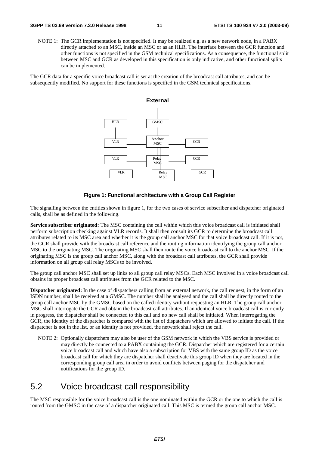NOTE 1: The GCR implementation is not specified. It may be realized e.g. as a new network node, in a PABX directly attached to an MSC, inside an MSC or as an HLR. The interface between the GCR function and other functions is not specified in the GSM technical specifications. As a consequence, the functional split between MSC and GCR as developed in this specification is only indicative, and other functional splits can be implemented.

The GCR data for a specific voice broadcast call is set at the creation of the broadcast call attributes, and can be subsequently modified. No support for these functions is specified in the GSM technical specifications.



#### **Figure 1: Functional architecture with a Group Call Register**

The signalling between the entities shown in figure 1, for the two cases of service subscriber and dispatcher originated calls, shall be as defined in the following.

**Service subscriber originated:** The MSC containing the cell within which this voice broadcast call is initiated shall perform subscription checking against VLR records. It shall then consult its GCR to determine the broadcast call attributes related to its MSC area and whether it is the group call anchor MSC for that voice broadcast call. If it is not, the GCR shall provide with the broadcast call reference and the routing information identifying the group call anchor MSC to the originating MSC. The originating MSC shall then route the voice broadcast call to the anchor MSC. If the originating MSC is the group call anchor MSC, along with the broadcast call attributes, the GCR shall provide information on all group call relay MSCs to be involved.

The group call anchor MSC shall set up links to all group call relay MSCs. Each MSC involved in a voice broadcast call obtains its proper broadcast call attributes from the GCR related to the MSC.

**Dispatcher originated:** In the case of dispatchers calling from an external network, the call request, in the form of an ISDN number, shall be received at a GMSC. The number shall be analysed and the call shall be directly routed to the group call anchor MSC by the GMSC based on the called identity without requesting an HLR. The group call anchor MSC shall interrogate the GCR and obtain the broadcast call attributes. If an identical voice broadcast call is currently in progress, the dispatcher shall be connected to this call and no new call shall be initiated. When interrogating the GCR, the identity of the dispatcher is compared with the list of dispatchers which are allowed to initiate the call. If the dispatcher is not in the list, or an identity is not provided, the network shall reject the call.

NOTE 2: Optionally dispatchers may also be user of the GSM network in which the VBS service is provided or may directly be connected to a PABX containing the GCR. Dispatcher which are registered for a certain voice broadcast call and which have also a subscription for VBS with the same group ID as the voice broadcast call for which they are dispatcher shall deactivate this group ID when they are located in the corresponding group call area in order to avoid conflicts between paging for the dispatcher and notifications for the group ID.

## 5.2 Voice broadcast call responsibility

The MSC responsible for the voice broadcast call is the one nominated within the GCR or the one to which the call is routed from the GMSC in the case of a dispatcher originated call. This MSC is termed the group call anchor MSC.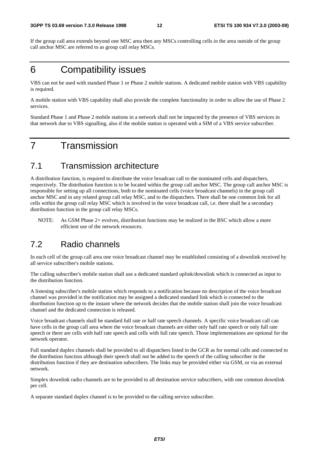If the group call area extends beyond one MSC area then any MSCs controlling cells in the area outside of the group call anchor MSC are referred to as group call relay MSCs.

## 6 Compatibility issues

VBS can not be used with standard Phase 1 or Phase 2 mobile stations. A dedicated mobile station with VBS capability is required.

A mobile station with VBS capability shall also provide the complete functionality in order to allow the use of Phase 2 services.

Standard Phase 1 and Phase 2 mobile stations in a network shall not be impacted by the presence of VBS services in that network due to VBS signalling, also if the mobile station is operated with a SIM of a VBS service subscriber.

## 7 Transmission

## 7.1 Transmission architecture

A distribution function, is required to distribute the voice broadcast call to the nominated cells and dispatchers, respectively. The distribution function is to be located within the group call anchor MSC. The group call anchor MSC is responsible for setting up all connections, both to the nominated cells (voice broadcast channels) in the group call anchor MSC and in any related group call relay MSC, and to the dispatchers. There shall be one common link for all cells within the group call relay MSC which is involved in the voice broadcast call, i.e. there shall be a secondary distribution function in the group call relay MSCs.

NOTE: As GSM Phase 2+ evolves, distribution functions may be realized in the BSC which allow a more efficient use of the network resources.

## 7.2 Radio channels

In each cell of the group call area one voice broadcast channel may be established consisting of a downlink received by all service subscriber's mobile stations.

The calling subscriber's mobile station shall use a dedicated standard uplink/downlink which is connected as input to the distribution function.

A listening subscriber's mobile station which responds to a notification because no description of the voice broadcast channel was provided in the notification may be assigned a dedicated standard link which is connected to the distribution function up to the instant where the network decides that the mobile station shall join the voice broadcast channel and the dedicated connection is released.

Voice broadcast channels shall be standard full rate or half rate speech channels. A specific voice broadcast call can have cells in the group call area where the voice broadcast channels are either only half rate speech or only full rate speech or there are cells with half rate speech and cells with full rate speech. Those implementations are optional for the network operator.

Full standard duplex channels shall be provided to all dispatchers listed in the GCR as for normal calls and connected to the distribution function although their speech shall not be added to the speech of the calling subscriber in the distribution function if they are destination subscribers. The links may be provided either via GSM, or via an external network.

Simplex downlink radio channels are to be provided to all destination service subscribers, with one common downlink per cell.

A separate standard duplex channel is to be provided to the calling service subscriber.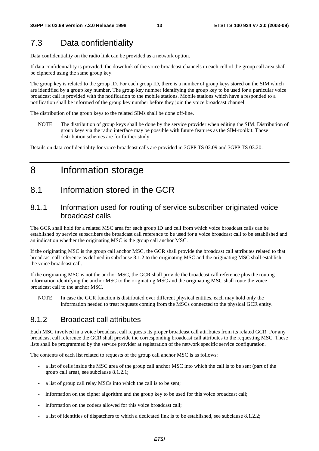## 7.3 Data confidentiality

Data confidentiality on the radio link can be provided as a network option.

If data confidentiality is provided, the downlink of the voice broadcast channels in each cell of the group call area shall be ciphered using the same group key.

The group key is related to the group ID. For each group ID, there is a number of group keys stored on the SIM which are identified by a group key number. The group key number identifying the group key to be used for a particular voice broadcast call is provided with the notification to the mobile stations. Mobile stations which have a responded to a notification shall be informed of the group key number before they join the voice broadcast channel.

The distribution of the group keys to the related SIMs shall be done off-line.

NOTE: The distribution of group keys shall be done by the service provider when editing the SIM. Distribution of group keys via the radio interface may be possible with future features as the SIM-toolkit. Those distribution schemes are for further study.

Details on data confidentiality for voice broadcast calls are provided in 3GPP TS 02.09 and 3GPP TS 03.20.

## 8 Information storage

## 8.1 Information stored in the GCR

### 8.1.1 Information used for routing of service subscriber originated voice broadcast calls

The GCR shall hold for a related MSC area for each group ID and cell from which voice broadcast calls can be established by service subscribers the broadcast call reference to be used for a voice broadcast call to be established and an indication whether the originating MSC is the group call anchor MSC.

If the originating MSC is the group call anchor MSC, the GCR shall provide the broadcast call attributes related to that broadcast call reference as defined in subclause 8.1.2 to the originating MSC and the originating MSC shall establish the voice broadcast call.

If the originating MSC is not the anchor MSC, the GCR shall provide the broadcast call reference plus the routing information identifying the anchor MSC to the originating MSC and the originating MSC shall route the voice broadcast call to the anchor MSC.

NOTE: In case the GCR function is distributed over different physical entities, each may hold only the information needed to treat requests coming from the MSCs connected to the physical GCR entity.

### 8.1.2 Broadcast call attributes

Each MSC involved in a voice broadcast call requests its proper broadcast call attributes from its related GCR. For any broadcast call reference the GCR shall provide the corresponding broadcast call attributes to the requesting MSC. These lists shall be programmed by the service provider at registration of the network specific service configuration.

The contents of each list related to requests of the group call anchor MSC is as follows:

- a list of cells inside the MSC area of the group call anchor MSC into which the call is to be sent (part of the group call area), see subclause 8.1.2.1;
- a list of group call relay MSCs into which the call is to be sent;
- information on the cipher algorithm and the group key to be used for this voice broadcast call;
- information on the codecs allowed for this voice broadcast call;
- a list of identities of dispatchers to which a dedicated link is to be established, see subclause 8.1.2.2;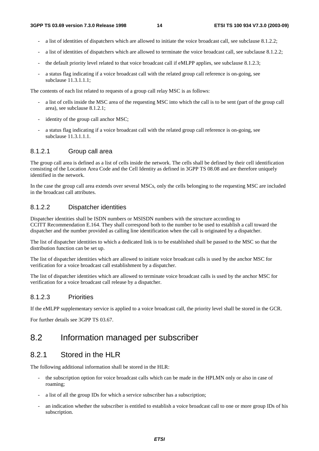- a list of identities of dispatchers which are allowed to initiate the voice broadcast call, see subclause 8.1.2.2;
- a list of identities of dispatchers which are allowed to terminate the voice broadcast call, see subclause 8.1.2.2;
- the default priority level related to that voice broadcast call if eMLPP applies, see subclause 8.1.2.3;
- a status flag indicating if a voice broadcast call with the related group call reference is on-going, see subclause 11.3.1.1.1;

The contents of each list related to requests of a group call relay MSC is as follows:

- a list of cells inside the MSC area of the requesting MSC into which the call is to be sent (part of the group call area), see subclause 8.1.2.1;
- identity of the group call anchor MSC;
- a status flag indicating if a voice broadcast call with the related group call reference is on-going, see subclause 11.3.1.1.1.

#### 8.1.2.1 Group call area

The group call area is defined as a list of cells inside the network. The cells shall be defined by their cell identification consisting of the Location Area Code and the Cell Identity as defined in 3GPP TS 08.08 and are therefore uniquely identified in the network.

In the case the group call area extends over several MSCs, only the cells belonging to the requesting MSC are included in the broadcast call attributes.

#### 8.1.2.2 Dispatcher identities

Dispatcher identities shall be ISDN numbers or MSISDN numbers with the structure according to CCITT Recommendation E.164. They shall correspond both to the number to be used to establish a call toward the dispatcher and the number provided as calling line identification when the call is originated by a dispatcher.

The list of dispatcher identities to which a dedicated link is to be established shall be passed to the MSC so that the distribution function can be set up.

The list of dispatcher identities which are allowed to initiate voice broadcast calls is used by the anchor MSC for verification for a voice broadcast call establishment by a dispatcher.

The list of dispatcher identities which are allowed to terminate voice broadcast calls is used by the anchor MSC for verification for a voice broadcast call release by a dispatcher.

#### 8.1.2.3 Priorities

If the eMLPP supplementary service is applied to a voice broadcast call, the priority level shall be stored in the GCR.

For further details see 3GPP TS 03.67.

## 8.2 Information managed per subscriber

### 8.2.1 Stored in the HLR

The following additional information shall be stored in the HLR:

- the subscription option for voice broadcast calls which can be made in the HPLMN only or also in case of roaming;
- a list of all the group IDs for which a service subscriber has a subscription;
- an indication whether the subscriber is entitled to establish a voice broadcast call to one or more group IDs of his subscription.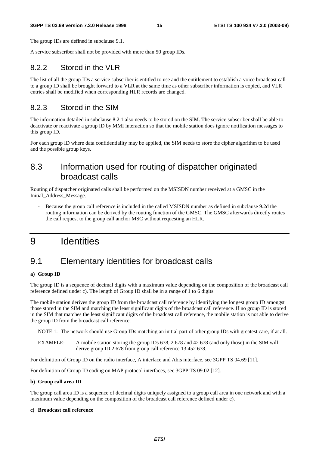#### **3GPP TS 03.69 version 7.3.0 Release 1998 15 ETSI TS 100 934 V7.3.0 (2003-09)**

The group IDs are defined in subclause 9.1.

A service subscriber shall not be provided with more than 50 group IDs.

### 8.2.2 Stored in the VLR

The list of all the group IDs a service subscriber is entitled to use and the entitlement to establish a voice broadcast call to a group ID shall be brought forward to a VLR at the same time as other subscriber information is copied, and VLR entries shall be modified when corresponding HLR records are changed.

### 8.2.3 Stored in the SIM

The information detailed in subclause 8.2.1 also needs to be stored on the SIM. The service subscriber shall be able to deactivate or reactivate a group ID by MMI interaction so that the mobile station does ignore notification messages to this group ID.

For each group ID where data confidentiality may be applied, the SIM needs to store the cipher algorithm to be used and the possible group keys.

## 8.3 Information used for routing of dispatcher originated broadcast calls

Routing of dispatcher originated calls shall be performed on the MSISDN number received at a GMSC in the Initial\_Address\_Message.

Because the group call reference is included in the called MSISDN number as defined in subclause 9.2d the routing information can be derived by the routing function of the GMSC. The GMSC afterwards directly routes the call request to the group call anchor MSC without requesting an HLR.

## 9 Identities

## 9.1 Elementary identities for broadcast calls

#### **a) Group ID**

The group ID is a sequence of decimal digits with a maximum value depending on the composition of the broadcast call reference defined under c). The length of Group ID shall be in a range of 1 to 6 digits.

The mobile station derives the group ID from the broadcast call reference by identifying the longest group ID amongst those stored in the SIM and matching the least significant digits of the broadcast call reference. If no group ID is stored in the SIM that matches the least significant digits of the broadcast call reference, the mobile station is not able to derive the group ID from the broadcast call reference.

NOTE 1: The network should use Group IDs matching an initial part of other group IDs with greatest care, if at all.

EXAMPLE: A mobile station storing the group IDs 678, 2 678 and 42 678 (and only those) in the SIM will derive group ID 2 678 from group call reference 13 452 678.

For definition of Group ID on the radio interface, A interface and Abis interface, see 3GPP TS 04.69 [11].

For definition of Group ID coding on MAP protocol interfaces, see 3GPP TS 09.02 [12].

#### **b) Group call area ID**

The group call area ID is a sequence of decimal digits uniquely assigned to a group call area in one network and with a maximum value depending on the composition of the broadcast call reference defined under c).

#### **c) Broadcast call reference**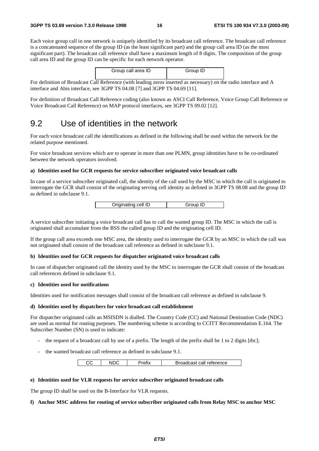Each voice group call in one network is uniquely identified by its broadcast call reference. The broadcast call reference is a concatenated sequence of the group ID (as the least significant part) and the group call area ID (as the most significant part). The broadcast call reference shall have a maximum length of 8 digits. The composition of the group call area ID and the group ID can be specific for each network operator.

| Group call area ID | Group ID |
|--------------------|----------|
|                    |          |

For definition of Broadcast Call Reference (with leading zeros inserted as necessary) on the radio interface and A interface and Abis interface, see 3GPP TS 04.08 [7] and 3GPP TS 04.69 [11].

For definition of Broadcast Call Reference coding (also known as ASCI Call Reference, Voice Group Call Reference or Voice Broadcast Call Reference) on MAP protocol interfaces, see 3GPP TS 09.02 [12].

## 9.2 Use of identities in the network

For each voice broadcast call the identifications as defined in the following shall be used within the network for the related purpose mentioned.

For voice broadcast services which are to operate in more than one PLMN, group identities have to be co-ordinated between the network operators involved.

#### **a) Identities used for GCR requests for service subscriber originated voice broadcast calls**

In case of a service subscriber originated call, the identity of the call used by the MSC in which the call is originated to interrogate the GCR shall consist of the originating serving cell identity as defined in 3GPP TS 08.08 and the group ID as defined in subclause 9.1.

A service subscriber initiating a voice broadcast call has to call the wanted group ID. The MSC in which the call is originated shall accumulate from the BSS the called group ID and the originating cell ID.

If the group call area exceeds one MSC area, the identity used to interrogate the GCR by an MSC in which the call was not originated shall consist of the broadcast call reference as defined in subclause 9.1.

#### **b) Identities used for GCR requests for dispatcher originated voice broadcast calls**

In case of dispatcher originated call the identity used by the MSC to interrogate the GCR shall consist of the broadcast call references defined in subclause 9.1.

#### **c) Identities used for notifications**

Identities used for notification messages shall consist of the broadcast call reference as defined in subclause 9.

#### **d) Identities used by dispatchers for voice broadcast call establishment**

For dispatcher originated calls an MSISDN is dialled. The Country Code (CC) and National Destination Code (NDC) are used as normal for routing purposes. The numbering scheme is according to CCITT Recommendation E.164. The Subscriber Number (SN) is used to indicate:

- the request of a broadcast call by use of a prefix. The length of the prefix shall be 1 to 2 digits [tbc];
- the wanted broadcast call reference as defined in subclause 9.1.

|  | 'retıx | Broadcast call reference |
|--|--------|--------------------------|

#### **e) Identities used for VLR requests for service subscriber originated broadcast calls**

The group ID shall be used on the B-Interface for VLR requests.

#### **f) Anchor MSC address for routing of service subscriber originated calls from Relay MSC to anchor MSC**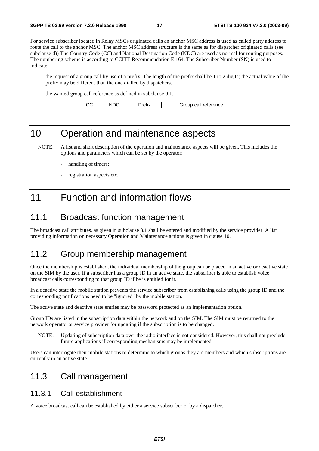For service subscriber located in Relay MSCs originated calls an anchor MSC address is used as called party address to route the call to the anchor MSC. The anchor MSC address structure is the same as for dispatcher originated calls (see subclause d)) The Country Code (CC) and National Destination Code (NDC) are used as normal for routing purposes. The numbering scheme is according to CCITT Recommendation E.164. The Subscriber Number (SN) is used to indicate:

- the request of a group call by use of a prefix. The length of the prefix shall be 1 to 2 digits; the actual value of the prefix may be different than the one dialled by dispatchers.
- the wanted group call reference as defined in subclause 9.1.

| CС | NDC | 'refıx | Group call reference |
|----|-----|--------|----------------------|

## 10 Operation and maintenance aspects

NOTE: A list and short description of the operation and maintenance aspects will be given. This includes the options and parameters which can be set by the operator:

- handling of timers;
- registration aspects etc.

## 11 Function and information flows

## 11.1 Broadcast function management

The broadcast call attributes, as given in subclause 8.1 shall be entered and modified by the service provider. A list providing information on necessary Operation and Maintenance actions is given in clause 10.

## 11.2 Group membership management

Once the membership is established, the individual membership of the group can be placed in an active or deactive state on the SIM by the user. If a subscriber has a group ID in an active state, the subscriber is able to establish voice broadcast calls corresponding to that group ID if he is entitled for it.

In a deactive state the mobile station prevents the service subscriber from establishing calls using the group ID and the corresponding notifications need to be "ignored" by the mobile station.

The active state and deactive state entries may be password protected as an implementation option.

Group IDs are listed in the subscription data within the network and on the SIM. The SIM must be returned to the network operator or service provider for updating if the subscription is to be changed.

NOTE: Updating of subscription data over the radio interface is not considered. However, this shall not preclude future applications if corresponding mechanisms may be implemented.

Users can interrogate their mobile stations to determine to which groups they are members and which subscriptions are currently in an active state.

## 11.3 Call management

### 11.3.1 Call establishment

A voice broadcast call can be established by either a service subscriber or by a dispatcher.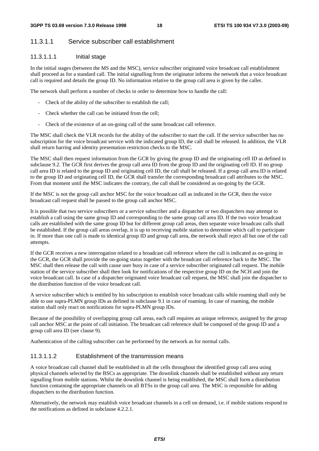### 11.3.1.1 Service subscriber call establishment

### 11.3.1.1.1 Initial stage

In the initial stages (between the MS and the MSC), service subscriber originated voice broadcast call establishment shall proceed as for a standard call. The initial signalling from the originator informs the network that a voice broadcast call is required and details the group ID. No information relative to the group call area is given by the caller.

The network shall perform a number of checks in order to determine how to handle the call:

- Check of the ability of the subscriber to establish the call;
- Check whether the call can be initiated from the cell;
- Check of the existence of an on-going call of the same broadcast call reference.

The MSC shall check the VLR records for the ability of the subscriber to start the call. If the service subscriber has no subscription for the voice broadcast service with the indicated group ID, the call shall be released. In addition, the VLR shall return barring and identity presentation restriction checks to the MSC.

The MSC shall then request information from the GCR by giving the group ID and the originating cell ID as defined in subclause 9.2. The GCR first derives the group call area ID from the group ID and the originating cell ID. If no group call area ID is related to the group ID and originating cell ID, the call shall be released. If a group call area ID is related to the group ID and originating cell ID, the GCR shall transfer the corresponding broadcast call attributes to the MSC. From that moment until the MSC indicates the contrary, the call shall be considered as on-going by the GCR.

If the MSC is not the group call anchor MSC for the voice broadcast call as indicated in the GCR, then the voice broadcast call request shall be passed to the group call anchor MSC.

It is possible that two service subscribers or a service subscriber and a dispatcher or two dispatchers may attempt to establish a call using the same group ID and corresponding to the same group call area ID. If the two voice broadcast calls are established with the same group ID but for different group call areas, then separate voice broadcast calls shall be established. If the group call areas overlap, it is up to receiving mobile station to determine which call to participate in. If more than one call is made to identical group ID and group call area, the network shall reject all but one of the call attempts.

If the GCR receives a new interrogation related to a broadcast call reference where the call is indicated as on-going in the GCR, the GCR shall provide the on-going status together with the broadcast call reference back to the MSC. The MSC shall then release the call with cause user busy in case of a service subscriber originated call request. The mobile station of the service subscriber shall then look for notifications of the respective group ID on the NCH and join the voice broadcast call. In case of a dispatcher originated voice broadcast call request, the MSC shall join the dispatcher to the distribution function of the voice broadcast call.

A service subscriber which is entitled by his subscription to establish voice broadcast calls while roaming shall only be able to use supra-PLMN group IDs as defined in subclause 9.1 in case of roaming. In case of roaming, the mobile station shall only react on notifications for supra-PLMN group IDs.

Because of the possibility of overlapping group call areas, each call requires an unique reference, assigned by the group call anchor MSC at the point of call initiation. The broadcast call reference shall be composed of the group ID and a group call area ID (see clause 9).

Authentication of the calling subscriber can be performed by the network as for normal calls.

#### 11.3.1.1.2 Establishment of the transmission means

A voice broadcast call channel shall be established in all the cells throughout the identified group call area using physical channels selected by the BSCs as appropriate. The downlink channels shall be established without any return signalling from mobile stations. Whilst the downlink channel is being established, the MSC shall form a distribution function containing the appropriate channels on all BTSs in the group call area. The MSC is responsible for adding dispatchers to the distribution function.

Alternatively, the network may establish voice broadcast channels in a cell on demand, i.e. if mobile stations respond to the notifications as defined in subclause 4.2.2.1.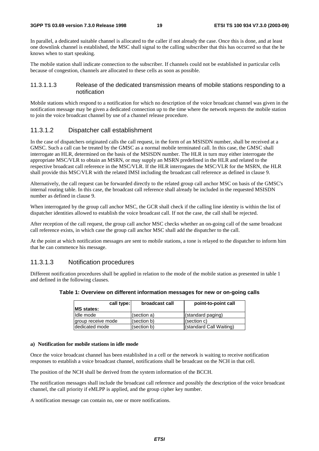In parallel, a dedicated suitable channel is allocated to the caller if not already the case. Once this is done, and at least one downlink channel is established, the MSC shall signal to the calling subscriber that this has occurred so that the he knows when to start speaking.

The mobile station shall indicate connection to the subscriber. If channels could not be established in particular cells because of congestion, channels are allocated to these cells as soon as possible.

#### 11.3.1.1.3 Release of the dedicated transmission means of mobile stations responding to a notification

Mobile stations which respond to a notification for which no description of the voice broadcast channel was given in the notification message may be given a dedicated connection up to the time where the network requests the mobile station to join the voice broadcast channel by use of a channel release procedure.

### 11.3.1.2 Dispatcher call establishment

In the case of dispatchers originated calls the call request, in the form of an MSISDN number, shall be received at a GMSC. Such a call can be treated by the GMSC as a normal mobile terminated call. In this case, the GMSC shall interrogate an HLR, determined on the basis of the MSISDN number. The HLR in turn may either interrogate the appropriate MSC/VLR to obtain an MSRN, or may supply an MSRN predefined in the HLR and related to the respective broadcast call reference in the MSC/VLR. If the HLR interrogates the MSC/VLR for the MSRN, the HLR shall provide this MSC/VLR with the related IMSI including the broadcast call reference as defined in clause 9.

Alternatively, the call request can be forwarded directly to the related group call anchor MSC on basis of the GMSC's internal routing table. In this case, the broadcast call reference shall already be included in the requested MSISDN number as defined in clause 9.

When interrogated by the group call anchor MSC, the GCR shall check if the calling line identity is within the list of dispatcher identities allowed to establish the voice broadcast call. If not the case, the call shall be rejected.

After reception of the call request, the group call anchor MSC checks whether an on-going call of the same broadcast call reference exists, in which case the group call anchor MSC shall add the dispatcher to the call.

At the point at which notification messages are sent to mobile stations, a tone is relayed to the dispatcher to inform him that he can commence his message.

#### 11.3.1.3 Notification procedures

Different notification procedures shall be applied in relation to the mode of the mobile station as presented in table 1 and defined in the following clauses.

| Table 1: Overview on different information messages for new or on-going calls |  |  |  |
|-------------------------------------------------------------------------------|--|--|--|
|-------------------------------------------------------------------------------|--|--|--|

| call type:<br><b>MS</b> states: | broadcast call | point-to-point call     |
|---------------------------------|----------------|-------------------------|
| Idle mode                       | (section a)    | (standard paging)       |
| group receive mode              | (section b)    | (section c)             |
| dedicated mode                  | (section b)    | (standard Call Waiting) |

#### **a) Notification for mobile stations in idle mode**

Once the voice broadcast channel has been established in a cell or the network is waiting to receive notification responses to establish a voice broadcast channel, notifications shall be broadcast on the NCH in that cell.

The position of the NCH shall be derived from the system information of the BCCH.

The notification messages shall include the broadcast call reference and possibly the description of the voice broadcast channel, the call priority if eMLPP is applied, and the group cipher key number.

A notification message can contain no, one or more notifications.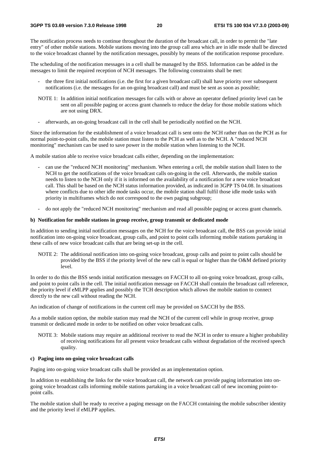The notification process needs to continue throughout the duration of the broadcast call, in order to permit the "late entry" of other mobile stations. Mobile stations moving into the group call area which are in idle mode shall be directed to the voice broadcast channel by the notification messages, possibly by means of the notification response procedure.

The scheduling of the notification messages in a cell shall be managed by the BSS. Information can be added in the messages to limit the required reception of NCH messages. The following constraints shall be met:

- the three first initial notifications (i.e. the first for a given broadcast call) shall have priority over subsequent notifications (i.e. the messages for an on-going broadcast call) and must be sent as soon as possible;
- NOTE 1: In addition initial notification messages for calls with or above an operator defined priority level can be sent on all possible paging or access grant channels to reduce the delay for those mobile stations which are not using DRX.
- afterwards, an on-going broadcast call in the cell shall be periodically notified on the NCH.

Since the information for the establishment of a voice broadcast call is sent onto the NCH rather than on the PCH as for normal point-to-point calls, the mobile station must listen to the PCH as well as to the NCH. A "reduced NCH monitoring" mechanism can be used to save power in the mobile station when listening to the NCH.

A mobile station able to receive voice broadcast calls either, depending on the implementation:

- can use the "reduced NCH monitoring" mechanism. When entering a cell, the mobile station shall listen to the NCH to get the notifications of the voice broadcast calls on-going in the cell. Afterwards, the mobile station needs to listen to the NCH only if it is informed on the availability of a notification for a new voice broadcast call. This shall be based on the NCH status information provided, as indicated in 3GPP TS 04.08. In situations where conflicts due to other idle mode tasks occur, the mobile station shall fulfil those idle mode tasks with priority in multiframes which do not correspond to the own paging subgroup;
- do not apply the "reduced NCH monitoring" mechanism and read all possible paging or access grant channels.

#### **b) Notification for mobile stations in group receive, group transmit or dedicated mode**

In addition to sending initial notification messages on the NCH for the voice broadcast call, the BSS can provide initial notification into on-going voice broadcast, group calls, and point to point calls informing mobile stations partaking in these calls of new voice broadcast calls that are being set-up in the cell.

NOTE 2: The additional notification into on-going voice broadcast, group calls and point to point calls should be provided by the BSS if the priority level of the new call is equal or higher than the O&M defined priority level.

In order to do this the BSS sends initial notification messages on FACCH to all on-going voice broadcast, group calls, and point to point calls in the cell. The initial notification message on FACCH shall contain the broadcast call reference, the priority level if eMLPP applies and possibly the TCH description which allows the mobile station to connect directly to the new call without reading the NCH.

An indication of change of notifications in the current cell may be provided on SACCH by the BSS.

As a mobile station option, the mobile station may read the NCH of the current cell while in group receive, group transmit or dedicated mode in order to be notified on other voice broadcast calls.

NOTE 3: Mobile stations may require an additional receiver to read the NCH in order to ensure a higher probability of receiving notifications for all present voice broadcast calls without degradation of the received speech quality.

#### **c) Paging into on-going voice broadcast calls**

Paging into on-going voice broadcast calls shall be provided as an implementation option.

In addition to establishing the links for the voice broadcast call, the network can provide paging information into ongoing voice broadcast calls informing mobile stations partaking in a voice broadcast call of new incoming point-topoint calls.

The mobile station shall be ready to receive a paging message on the FACCH containing the mobile subscriber identity and the priority level if eMLPP applies.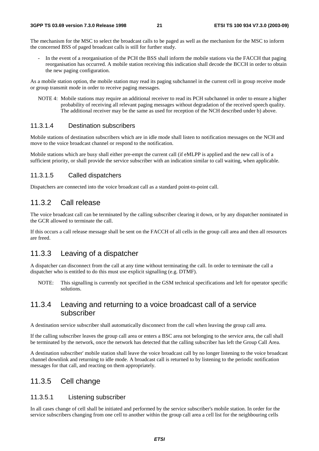The mechanism for the MSC to select the broadcast calls to be paged as well as the mechanism for the MSC to inform the concerned BSS of paged broadcast calls is still for further study.

In the event of a reorganisation of the PCH the BSS shall inform the mobile stations via the FACCH that paging reorganisation has occurred. A mobile station receiving this indication shall decode the BCCH in order to obtain the new paging configuration.

As a mobile station option, the mobile station may read its paging subchannel in the current cell in group receive mode or group transmit mode in order to receive paging messages.

NOTE 4: Mobile stations may require an additional receiver to read its PCH subchannel in order to ensure a higher probability of receiving all relevant paging messages without degradation of the received speech quality. The additional receiver may be the same as used for reception of the NCH described under b) above.

### 11.3.1.4 Destination subscribers

Mobile stations of destination subscribers which are in idle mode shall listen to notification messages on the NCH and move to the voice broadcast channel or respond to the notification.

Mobile stations which are busy shall either pre-empt the current call (if eMLPP is applied and the new call is of a sufficient priority, or shall provide the service subscriber with an indication similar to call waiting, when applicable.

#### 11.3.1.5 Called dispatchers

Dispatchers are connected into the voice broadcast call as a standard point-to-point call.

### 11.3.2 Call release

The voice broadcast call can be terminated by the calling subscriber clearing it down, or by any dispatcher nominated in the GCR allowed to terminate the call.

If this occurs a call release message shall be sent on the FACCH of all cells in the group call area and then all resources are freed.

### 11.3.3 Leaving of a dispatcher

A dispatcher can disconnect from the call at any time without terminating the call. In order to terminate the call a dispatcher who is entitled to do this must use explicit signalling (e.g. DTMF).

NOTE: This signalling is currently not specified in the GSM technical specifications and left for operator specific solutions.

### 11.3.4 Leaving and returning to a voice broadcast call of a service subscriber

A destination service subscriber shall automatically disconnect from the call when leaving the group call area.

If the calling subscriber leaves the group call area or enters a BSC area not belonging to the service area, the call shall be terminated by the network, once the network has detected that the calling subscriber has left the Group Call Area.

A destination subscriber' mobile station shall leave the voice broadcast call by no longer listening to the voice broadcast channel downlink and returning to idle mode. A broadcast call is returned to by listening to the periodic notification messages for that call, and reacting on them appropriately.

### 11.3.5 Cell change

### 11.3.5.1 Listening subscriber

In all cases change of cell shall be initiated and performed by the service subscriber's mobile station. In order for the service subscribers changing from one cell to another within the group call area a cell list for the neighbouring cells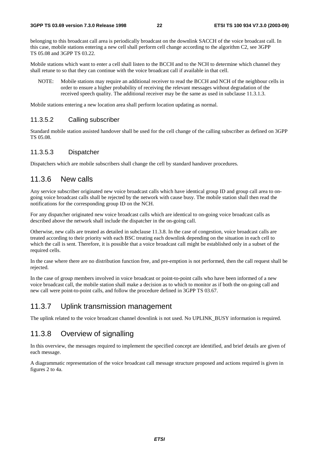belonging to this broadcast call area is periodically broadcast on the downlink SACCH of the voice broadcast call. In this case, mobile stations entering a new cell shall perform cell change according to the algorithm C2, see 3GPP TS 05.08 and 3GPP TS 03.22.

Mobile stations which want to enter a cell shall listen to the BCCH and to the NCH to determine which channel they shall retune to so that they can continue with the voice broadcast call if available in that cell.

NOTE: Mobile stations may require an additional receiver to read the BCCH and NCH of the neighbour cells in order to ensure a higher probability of receiving the relevant messages without degradation of the received speech quality. The additional receiver may be the same as used in subclause 11.3.1.3.

Mobile stations entering a new location area shall perform location updating as normal.

#### 11.3.5.2 Calling subscriber

Standard mobile station assisted handover shall be used for the cell change of the calling subscriber as defined on 3GPP TS 05.08.

### 11.3.5.3 Dispatcher

Dispatchers which are mobile subscribers shall change the cell by standard handover procedures.

### 11.3.6 New calls

Any service subscriber originated new voice broadcast calls which have identical group ID and group call area to ongoing voice broadcast calls shall be rejected by the network with cause busy. The mobile station shall then read the notifications for the corresponding group ID on the NCH.

For any dispatcher originated new voice broadcast calls which are identical to on-going voice broadcast calls as described above the network shall include the dispatcher in the on-going call.

Otherwise, new calls are treated as detailed in subclause 11.3.8. In the case of congestion, voice broadcast calls are treated according to their priority with each BSC treating each downlink depending on the situation in each cell to which the call is sent. Therefore, it is possible that a voice broadcast call might be established only in a subset of the required cells.

In the case where there are no distribution function free, and pre-emption is not performed, then the call request shall be rejected.

In the case of group members involved in voice broadcast or point-to-point calls who have been informed of a new voice broadcast call, the mobile station shall make a decision as to which to monitor as if both the on-going call and new call were point-to-point calls, and follow the procedure defined in 3GPP TS 03.67.

### 11.3.7 Uplink transmission management

The uplink related to the voice broadcast channel downlink is not used. No UPLINK\_BUSY information is required.

## 11.3.8 Overview of signalling

In this overview, the messages required to implement the specified concept are identified, and brief details are given of each message.

A diagrammatic representation of the voice broadcast call message structure proposed and actions required is given in figures 2 to 4a.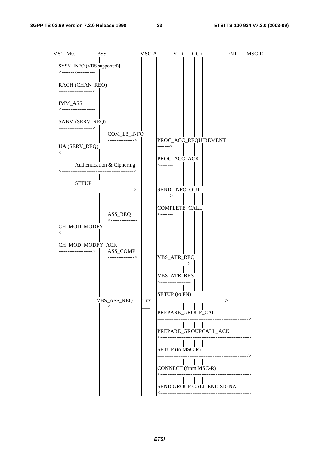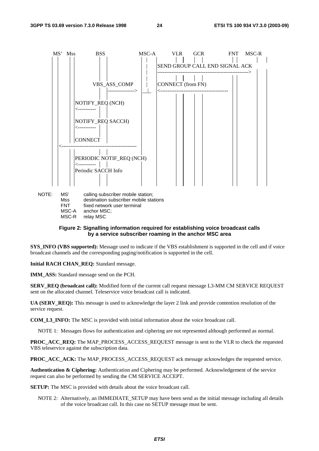

NOTE: MS' calling subscriber mobile station; Mss destination subscriber mobile stations FNT fixed network user terminal MSC-A anchor MSC; MSC-R relay MSC

#### **Figure 2: Signalling information required for establishing voice broadcast calls by a service subscriber roaming in the anchor MSC area**

**SYS\_INFO (VBS supported):** Message used to indicate if the VBS establishment is supported in the cell and if voice broadcast channels and the corresponding paging/notification is supported in the cell.

**Initial RACH CHAN\_REQ:** Standard message.

**IMM\_ASS:** Standard message send on the PCH.

**SERV\_REQ (broadcast call):** Modified form of the current call request message L3-MM CM SERVICE REQUEST sent on the allocated channel. Teleservice voice broadcast call is indicated.

**UA (SERV\_REQ):** This message is used to acknowledge the layer 2 link and provide contention resolution of the service request.

**COM\_L3\_INFO:** The MSC is provided with initial information about the voice broadcast call.

NOTE 1: Messages flows for authentication and ciphering are not represented although performed as normal.

**PROC\_ACC\_REQ:** The MAP\_PROCESS\_ACCESS\_REQUEST message is sent to the VLR to check the requested VBS teleservice against the subscription data.

**PROC\_ACC\_ACK:** The MAP\_PROCESS\_ACCESS\_REQUEST ack message acknowledges the requested service.

**Authentication & Ciphering:** Authentication and Ciphering may be performed. Acknowledgement of the service request can also be performed by sending the CM SERVICE ACCEPT.

**SETUP:** The MSC is provided with details about the voice broadcast call.

NOTE 2: Alternatively, an IMMEDIATE\_SETUP may have been send as the initial message including all details of the voice broadcast call. In this case no SETUP message must be sent.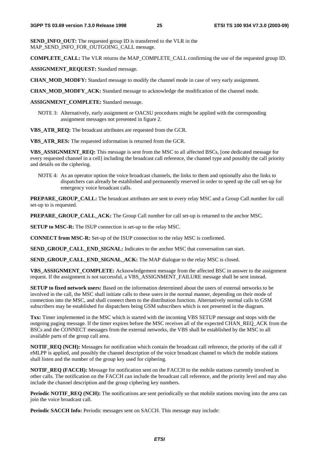**SEND INFO** OUT: The requested group ID is transferred to the VLR in the MAP\_SEND\_INFO\_FOR\_OUTGOING\_CALL message.

**COMPLETE\_CALL:** The VLR returns the MAP\_COMPLETE\_CALL confirming the use of the requested group ID.

**ASSIGNMENT\_REQUEST:** Standard message.

**CHAN\_MOD\_MODFY:** Standard message to modify the channel mode in case of very early assignment.

**CHAN\_MOD\_MODFY\_ACK:** Standard message to acknowledge the modification of the channel mode.

**ASSIGNMENT\_COMPLETE:** Standard message.

NOTE 3: Alternatively, early assignment or OACSU procedures might be applied with the corresponding assignment messages not presented in figure 2.

**VBS\_ATR\_REQ:** The broadcast attributes are requested from the GCR.

**VBS\_ATR\_RES:** The requested information is returned from the GCR.

**VBS\_ASSIGNMENT\_REQ:** This message is sent from the MSC to all affected BSCs, [one dedicated message for every requested channel in a cell] including the broadcast call reference, the channel type and possibly the call priority and details on the ciphering.

NOTE 4: As an operator option the voice broadcast channels, the links to them and optionally also the links to dispatchers can already be established and permanently reserved in order to speed up the call set-up for emergency voice broadcast calls.

**PREPARE\_GROUP\_CALL:** The broadcast attributes are sent to every relay MSC and a Group Call number for call set-up to is requested.

**PREPARE\_GROUP\_CALL\_ACK:** The Group Call number for call set-up is returned to the anchor MSC.

**SETUP to MSC-R:** The ISUP connection is set-up to the relay MSC.

**CONNECT from MSC-R:** Set-up of the ISUP connection to the relay MSC is confirmed.

**SEND\_GROUP\_CALL\_END\_SIGNAL:** Indicates to the anchor MSC that conversation can start.

**SEND\_GROUP\_CALL\_END\_SIGNAL\_ACK:** The MAP dialogue to the relay MSC is closed.

**VBS\_ASSIGNMENT\_COMPLETE:** Acknowledgement message from the affected BSC in answer to the assignment request. If the assignment is not successful, a VBS\_ASSIGNMENT\_FAILURE message shall be sent instead.

**SETUP to fixed network users:** Based on the information determined about the users of external networks to be involved in the call, the MSC shall initiate calls to these users in the normal manner, depending on their mode of connection into the MSC, and shall connect them to the distribution function. Alternatively normal calls to GSM subscribers may be established for dispatchers being GSM subscribers which is not presented in the diagram.

**Txx:** Timer implemented in the MSC which is started with the incoming VBS SETUP message and stops with the outgoing paging message. If the timer expires before the MSC receives all of the expected CHAN\_REQ\_ACK from the BSCs and the CONNECT messages from the external networks, the VBS shall be established by the MSC to all available parts of the group call area.

**NOTIF\_REQ (NCH):** Messages for notification which contain the broadcast call reference, the priority of the call if eMLPP is applied, and possibly the channel description of the voice broadcast channel to which the mobile stations shall listen and the number of the group key used for ciphering.

**NOTIF\_REQ (FACCH):** Message for notification sent on the FACCH to the mobile stations currently involved in other calls. The notification on the FACCH can include the broadcast call reference, and the priority level and may also include the channel description and the group ciphering key numbers.

**Periodic NOTIF\_REQ (NCH):** The notifications are sent periodically so that mobile stations moving into the area can join the voice broadcast call.

**Periodic SACCH Info:** Periodic messages sent on SACCH. This message may include: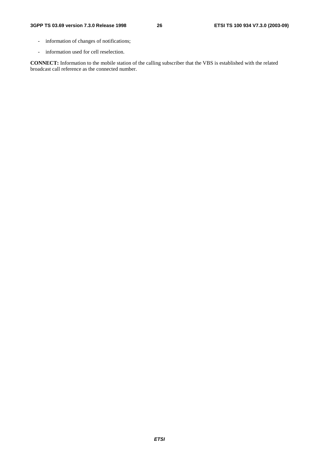- information of changes of notifications;
- information used for cell reselection.

**CONNECT:** Information to the mobile station of the calling subscriber that the VBS is established with the related broadcast call reference as the connected number.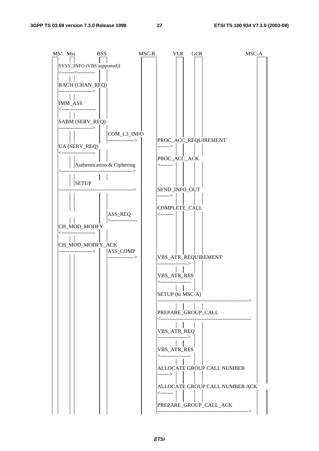| MS' Mss                                                                                                                                                                                                                                                                                                                                                                                                                                                                                          | <b>BSS</b> |                                                  | MSC-R | <b>VLR</b>                | <b>GCR</b> | MSC-A                          |  |
|--------------------------------------------------------------------------------------------------------------------------------------------------------------------------------------------------------------------------------------------------------------------------------------------------------------------------------------------------------------------------------------------------------------------------------------------------------------------------------------------------|------------|--------------------------------------------------|-------|---------------------------|------------|--------------------------------|--|
| SYSY_INFO (VBS supported)]                                                                                                                                                                                                                                                                                                                                                                                                                                                                       |            |                                                  |       |                           |            |                                |  |
| $\leftarrow$ $\leftarrow$ $\leftarrow$ $\leftarrow$ $\leftarrow$ $\leftarrow$ $\leftarrow$ $\leftarrow$ $\leftarrow$ $\leftarrow$ $\leftarrow$ $\leftarrow$ $\leftarrow$ $\leftarrow$ $\leftarrow$ $\leftarrow$ $\leftarrow$ $\leftarrow$ $\leftarrow$ $\leftarrow$ $\leftarrow$ $\leftarrow$ $\leftarrow$ $\leftarrow$ $\leftarrow$ $\leftarrow$ $\leftarrow$ $\leftarrow$ $\leftarrow$ $\leftarrow$ $\leftarrow$ $\leftarrow$ $\leftarrow$ $\leftarrow$ $\leftarrow$ $\leftarrow$ $\leftarrow$ |            |                                                  |       |                           |            |                                |  |
| $\mathbb{E}[\mathbf{E}(\mathbf{z})]$<br>RACH (CHAN_REQ)                                                                                                                                                                                                                                                                                                                                                                                                                                          |            |                                                  |       |                           |            |                                |  |
| ------------------>                                                                                                                                                                                                                                                                                                                                                                                                                                                                              |            |                                                  |       |                           |            |                                |  |
| <b>IMM_ASS</b>                                                                                                                                                                                                                                                                                                                                                                                                                                                                                   |            |                                                  |       |                           |            |                                |  |
| <--------------------                                                                                                                                                                                                                                                                                                                                                                                                                                                                            |            |                                                  |       |                           |            |                                |  |
| SABM (SERV_REQ)                                                                                                                                                                                                                                                                                                                                                                                                                                                                                  |            |                                                  |       |                           |            |                                |  |
| ----------------->                                                                                                                                                                                                                                                                                                                                                                                                                                                                               |            | COM_L3_INFO                                      |       |                           |            |                                |  |
|                                                                                                                                                                                                                                                                                                                                                                                                                                                                                                  |            | ---------------->                                |       |                           |            | PROC_ACC_REQUIREMENT           |  |
| UA (SERV_REQ)<br>⊂-----------------                                                                                                                                                                                                                                                                                                                                                                                                                                                              |            |                                                  |       | ------->                  |            |                                |  |
|                                                                                                                                                                                                                                                                                                                                                                                                                                                                                                  |            |                                                  |       | PROC_ACC_ACK<br><-------  |            |                                |  |
|                                                                                                                                                                                                                                                                                                                                                                                                                                                                                                  |            | Authentication & Ciphering<br>-----------------> |       |                           |            |                                |  |
| <b>SETUP</b>                                                                                                                                                                                                                                                                                                                                                                                                                                                                                     |            |                                                  |       |                           |            |                                |  |
|                                                                                                                                                                                                                                                                                                                                                                                                                                                                                                  |            | -------------->                                  |       | SEND_INFO_OUT             |            |                                |  |
|                                                                                                                                                                                                                                                                                                                                                                                                                                                                                                  |            |                                                  |       | ------->                  |            |                                |  |
|                                                                                                                                                                                                                                                                                                                                                                                                                                                                                                  |            |                                                  |       | COMPLETE_CALL<br><------- |            |                                |  |
|                                                                                                                                                                                                                                                                                                                                                                                                                                                                                                  |            | ASS_REQ<br><----------------                     |       |                           |            |                                |  |
| CH_MOD_MODFY<br><--------------------                                                                                                                                                                                                                                                                                                                                                                                                                                                            |            |                                                  |       |                           |            |                                |  |
| $\pm 1$                                                                                                                                                                                                                                                                                                                                                                                                                                                                                          |            |                                                  |       |                           |            |                                |  |
| CH_MOD_MODFY_ACK<br>$\frac{2.7222}{1}$   $\frac{1}{2}$   ASS_COMP                                                                                                                                                                                                                                                                                                                                                                                                                                |            |                                                  |       |                           |            |                                |  |
|                                                                                                                                                                                                                                                                                                                                                                                                                                                                                                  |            | ---------------->                                |       | VBS_ATR_REQUIREMENT       |            |                                |  |
|                                                                                                                                                                                                                                                                                                                                                                                                                                                                                                  |            |                                                  |       |                           |            |                                |  |
|                                                                                                                                                                                                                                                                                                                                                                                                                                                                                                  |            |                                                  |       | VBS_ATR_RES               |            |                                |  |
|                                                                                                                                                                                                                                                                                                                                                                                                                                                                                                  |            |                                                  |       | <---------------          |            |                                |  |
|                                                                                                                                                                                                                                                                                                                                                                                                                                                                                                  |            |                                                  |       | SETUP (to MSC-A)          |            | >                              |  |
|                                                                                                                                                                                                                                                                                                                                                                                                                                                                                                  |            |                                                  |       |                           |            |                                |  |
|                                                                                                                                                                                                                                                                                                                                                                                                                                                                                                  |            |                                                  |       | PREPARE_GROUP_CALL        |            | .                              |  |
|                                                                                                                                                                                                                                                                                                                                                                                                                                                                                                  |            |                                                  |       |                           |            |                                |  |
|                                                                                                                                                                                                                                                                                                                                                                                                                                                                                                  |            |                                                  |       | VBS_ATR_REQ               |            |                                |  |
|                                                                                                                                                                                                                                                                                                                                                                                                                                                                                                  |            |                                                  |       | VBS_ATR_RES               |            |                                |  |
|                                                                                                                                                                                                                                                                                                                                                                                                                                                                                                  |            |                                                  |       | <-------------            |            |                                |  |
|                                                                                                                                                                                                                                                                                                                                                                                                                                                                                                  |            |                                                  |       |                           |            | ALLOCATE GROUP CALL NUMBER     |  |
|                                                                                                                                                                                                                                                                                                                                                                                                                                                                                                  |            |                                                  |       | -------- $>$              |            |                                |  |
|                                                                                                                                                                                                                                                                                                                                                                                                                                                                                                  |            |                                                  |       |                           |            | ALLOCATE GROUP CALL NUMBER ACK |  |
|                                                                                                                                                                                                                                                                                                                                                                                                                                                                                                  |            |                                                  |       | <--------                 |            |                                |  |
|                                                                                                                                                                                                                                                                                                                                                                                                                                                                                                  |            |                                                  |       |                           |            | PREPARE_GROUP_CALL_ACK         |  |
|                                                                                                                                                                                                                                                                                                                                                                                                                                                                                                  |            |                                                  |       |                           |            | ------------------->           |  |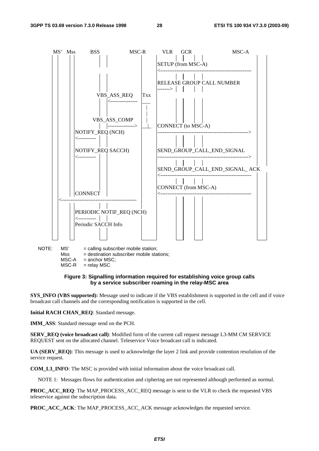

 $MSC-R$  = relay MSC

#### **Figure 3: Signalling information required for establishing voice group calls by a service subscriber roaming in the relay-MSC area**

**SYS\_INFO (VBS supported):** Message used to indicate if the VBS establishment is supported in the cell and if voice broadcast call channels and the corresponding notification is supported in the cell.

**Initial RACH CHAN\_REQ**: Standard message.

**IMM\_ASS**: Standard message send on the PCH.

**SERV\_REQ (voice broadcast call)**: Modified form of the current call request message L3-MM CM SERVICE REQUEST sent on the allocated channel. Teleservice Voice broadcast call is indicated.

**UA (SERV\_REQ)**: This message is used to acknowledge the layer 2 link and provide contention resolution of the service request.

**COM\_L3\_INFO**: The MSC is provided with initial information about the voice broadcast call.

NOTE 1: Messages flows for authentication and ciphering are not represented although performed as normal.

**PROC\_ACC\_REQ:** The MAP\_PROCESS\_ACC\_REQ\_message is sent to the VLR to check the requested VBS teleservice against the subscription data.

**PROC\_ACC\_ACK**: The MAP\_PROCESS\_ACC\_ACK message acknowledges the requested service.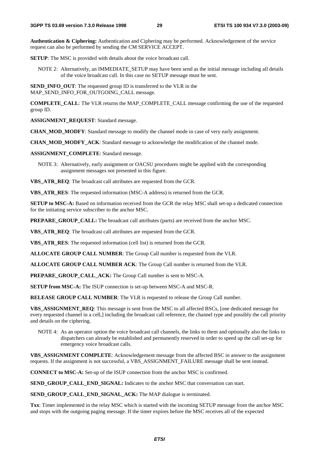**Authentication & Ciphering:** Authentication and Ciphering may be performed. Acknowledgement of the service request can also be performed by sending the CM SERVICE ACCEPT.

**SETUP**: The MSC is provided with details about the voice broadcast call.

NOTE 2: Alternatively, an IMMEDIATE\_SETUP may have been send as the initial message including all details of the voice broadcast call. In this case no SETUP message must be sent.

**SEND\_INFO\_OUT**: The requested group ID is transferred to the VLR in the MAP\_SEND\_INFO\_FOR\_OUTGOING\_CALL message.

**COMPLETE\_CALL:** The VLR returns the MAP\_COMPLETE\_CALL message confirming the use of the requested group ID.

**ASSIGNMENT\_REQUEST:** Standard message.

**CHAN\_MOD\_MODFY**: Standard message to modify the channel mode in case of very early assignment.

**CHAN\_MOD\_MODFY\_ACK**: Standard message to acknowledge the modification of the channel mode.

**ASSIGNMENT\_COMPLETE**: Standard message.

NOTE 3: Alternatively, early assignment or OACSU procedures might be applied with the corresponding assignment messages not presented in this figure.

**VBS\_ATR\_REQ**: The broadcast call attributes are requested from the GCR.

**VBS\_ATR\_RES**: The requested information (MSC-A address) is returned from the GCR.

**SETUP to MSC-A:** Based on information received from the GCR the relay MSC shall set-up a dedicated connection for the initiating service subscriber to the anchor MSC.

**PREPARE GROUP CALL:** The broadcast call attributes (parts) are received from the anchor MSC.

**VBS\_ATR\_REQ**: The broadcast call attributes are requested from the GCR.

**VBS\_ATR\_RES**: The requested information (cell list) is returned from the GCR.

**ALLOCATE GROUP CALL NUMBER**: The Group Call number is requested from the VLR.

**ALLOCATE GROUP CALL NUMBER ACK**: The Group Call number is returned from the VLR.

**PREPARE\_GROUP\_CALL\_ACK:** The Group Call number is sent to MSC-A.

**SETUP from MSC-A:** The ISUP connection is set-up between MSC-A and MSC-R.

**RELEASE GROUP CALL NUMBER**: The VLR is requested to release the Group Call number.

**VBS\_ASSIGNMENT\_REQ**: This message is sent from the MSC to all affected BSCs, [one dedicated message for every requested channel in a cell,] including the broadcast call reference, the channel type and possibly the call priority and details on the ciphering.

NOTE 4: As an operator option the voice broadcast call channels, the links to them and optionally also the links to dispatchers can already be established and permanently reserved in order to speed up the call set-up for emergency voice broadcast calls.

**VBS\_ASSIGNMENT COMPLETE:** Acknowledgement message from the affected BSC in answer to the assignment requests. If the assignment is not successful, a VBS\_ASSIGNMENT\_FAILURE message shall be sent instead.

**CONNECT to MSC-A:** Set-up of the ISUP connection from the anchor MSC is confirmed.

**SEND\_GROUP\_CALL\_END\_SIGNAL:** Indicates to the anchor MSC that conversation can start.

**SEND\_GROUP\_CALL\_END\_SIGNAL\_ACK:** The MAP dialogue is terminated.

**Txx**: Timer implemented in the relay MSC which is started with the incoming SETUP message from the anchor MSC and stops with the outgoing paging message. If the timer expires before the MSC receives all of the expected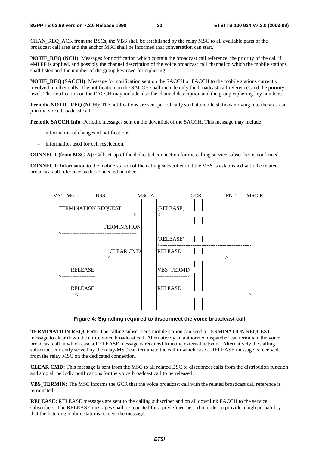CHAN\_REQ\_ACK from the BSCs, the VBS shall be established by the relay MSC to all available parts of the broadcast call area and the anchor MSC shall be informed that conversation can start.

**NOTIF\_REQ (NCH)**: Messages for notification which contain the broadcast call reference, the priority of the call if eMLPP is applied, and possibly the channel description of the voice broadcast call channel to which the mobile stations shall listen and the number of the group key used for ciphering.

**NOTIF\_REO (SACCH)**: Message for notification sent on the SACCH or FACCH to the mobile stations currently involved in other calls. The notification on the SACCH shall include only the broadcast call reference, and the priority level. The notification on the FACCH may include also the channel description and the group ciphering key numbers.

**Periodic NOTIF\_REQ (NCH)**: The notifications are sent periodically so that mobile stations moving into the area can join the voice broadcast call.

**Periodic SACCH Info**: Periodic messages sent on the downlink of the SACCH. This message may include:

- information of changes of notifications;
- information used for cell reselection.

**CONNECT (from MSC-A):** Call set-up of the dedicated connection for the calling service subscriber is confirmed.

**CONNECT**: Information to the mobile station of the calling subscriber that the VBS is established with the related broadcast call reference as the connected number.



**Figure 4: Signalling required to disconnect the voice broadcast call** 

**TERMINATION REQUEST:** The calling subscriber's mobile station can send a TERMINATION REQUEST message to clear down the entire voice broadcast call. Alternatively an authorized dispatcher can terminate the voice broadcast call in which case a RELEASE message is received from the external network. Alternatively the calling subscriber currently served by the relay-MSC can terminate the call in which case a RELEASE message is received from the relay MSC on the dedicated connection.

**CLEAR CMD:** This message is sent from the MSC to all related BSC to disconnect calls from the distribution function and stop all periodic notifications for the voice broadcast call to be released.

**VBS\_TERMIN:** The MSC informs the GCR that the voice broadcast call with the related broadcast call reference is terminated.

**RELEASE:** RELEASE messages are sent to the calling subscriber and on all downlink FACCH to the service subscribers. The RELEASE messages shall be repeated for a predefined period in order to provide a high probability that the listening mobile stations receive the message.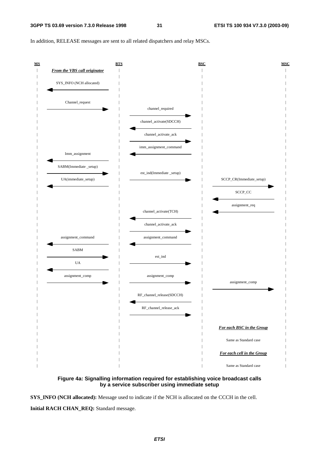In addition, RELEASE messages are sent to all related dispatchers and relay MSCs.





**SYS\_INFO (NCH allocated):** Message used to indicate if the NCH is allocated on the CCCH in the cell.

**Initial RACH CHAN\_REQ:** Standard message.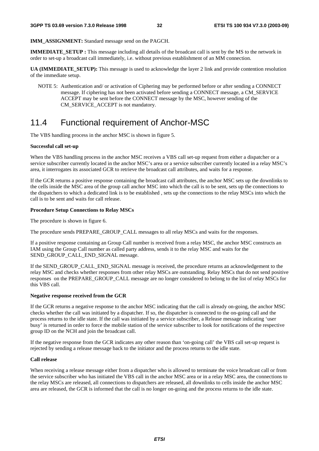**IMM\_ASSIGNMENT:** Standard message send on the PAGCH.

**IMMEDIATE\_SETUP :** This message including all details of the broadcast call is sent by the MS to the network in order to set-up a broadcast call immediately, i.e. without previous establishment of an MM connection.

**UA (IMMEDIATE\_SETUP):** This message is used to acknowledge the layer 2 link and provide contention resolution of the immediate setup.

NOTE 5: Authentication and/ or activation of Ciphering may be performed before or after sending a CONNECT message. If ciphering has not been activated before sending a CONNECT message, a CM\_SERVICE ACCEPT may be sent before the CONNECT message by the MSC, however sending of the CM\_SERVICE\_ACCEPT is not mandatory.

## 11.4 Functional requirement of Anchor-MSC

The VBS handling process in the anchor MSC is shown in figure 5.

#### **Successful call set-up**

When the VBS handling process in the anchor MSC receives a VBS call set-up request from either a dispatcher or a service subscriber currently located in the anchor MSC's area or a service subscriber currently located in a relay MSC's area, it interrogates its associated GCR to retrieve the broadcast call attributes, and waits for a response.

If the GCR returns a positive response containing the broadcast call attributes, the anchor MSC sets up the downlinks to the cells inside the MSC area of the group call anchor MSC into which the call is to be sent, sets up the connections to the dispatchers to which a dedicated link is to be established , sets up the connections to the relay MSCs into which the call is to be sent and waits for call release.

#### **Procedure Setup Connections to Relay MSCs**

The procedure is shown in figure 6.

The procedure sends PREPARE\_GROUP\_CALL messages to all relay MSCs and waits for the responses.

If a positive response containing an Group Call number is received from a relay MSC, the anchor MSC constructs an IAM using the Group Call number as called party address, sends it to the relay MSC and waits for the SEND\_GROUP\_CALL\_END\_SIGNAL message.

If the SEND\_GROUP\_CALL\_END\_SIGNAL message is received, the procedure returns an acknowledgement to the relay MSC and checks whether responses from other relay MSCs are outstanding. Relay MSCs that do not send positive responses on the PREPARE\_GROUP\_CALL message are no longer considered to belong to the list of relay MSCs for this VBS call.

#### **Negative response received from the GCR**

If the GCR returns a negative response to the anchor MSC indicating that the call is already on-going, the anchor MSC checks whether the call was initiated by a dispatcher. If so, the dispatcher is connected to the on-going call and the process returns to the idle state. If the call was initiated by a service subscriber, a Release message indicating 'user busy' is returned in order to force the mobile station of the service subscriber to look for notifications of the respective group ID on the NCH and join the broadcast call.

If the negative response from the GCR indicates any other reason than 'on-going call' the VBS call set-up request is rejected by sending a release message back to the initiator and the process returns to the idle state.

#### **Call release**

When receiving a release message either from a dispatcher who is allowed to terminate the voice broadcast call or from the service subscriber who has initiated the VBS call in the anchor MSC area or in a relay MSC area, the connections to the relay MSCs are released, all connections to dispatchers are released, all downlinks to cells inside the anchor MSC area are released, the GCR is informed that the call is no longer on-going and the process returns to the idle state.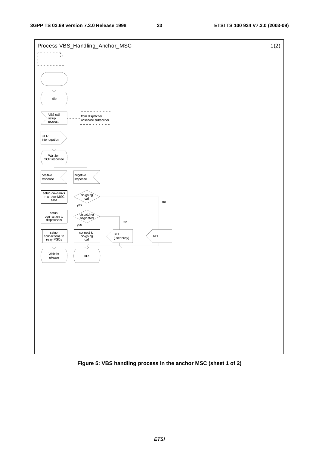

**Figure 5: VBS handling process in the anchor MSC (sheet 1 of 2)**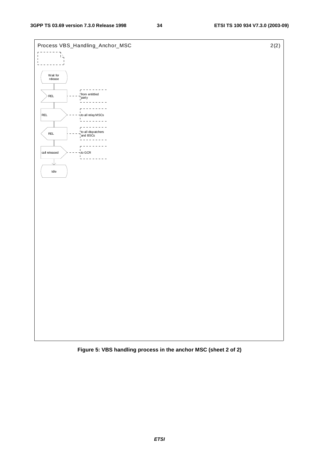



**ETSI**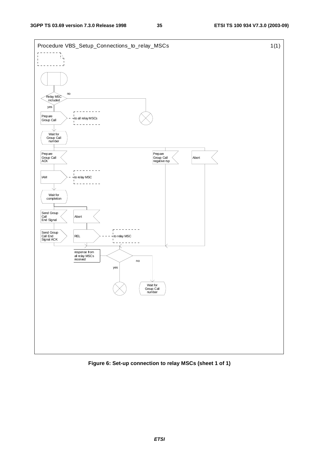

**Figure 6: Set-up connection to relay MSCs (sheet 1 of 1)**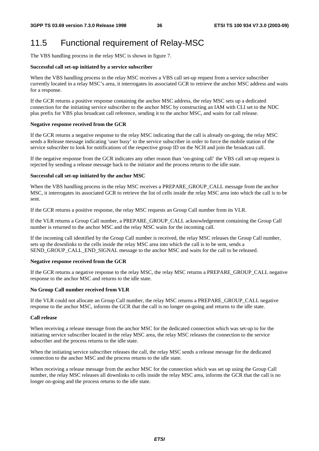## 11.5 Functional requirement of Relay-MSC

The VBS handling process in the relay MSC is shown in figure 7.

#### **Successful call set-up initiated by a service subscriber**

When the VBS handling process in the relay MSC receives a VBS call set-up request from a service subscriber currently located in a relay MSC's area, it interrogates its associated GCR to retrieve the anchor MSC address and waits for a response.

If the GCR returns a positive response containing the anchor MSC address, the relay MSC sets up a dedicated connection for the initiating service subscriber to the anchor MSC by constructing an IAM with CLI set to the NDC plus prefix for VBS plus broadcast call reference, sending it to the anchor MSC, and waits for call release.

#### **Negative response received from the GCR**

If the GCR returns a negative response to the relay MSC indicating that the call is already on-going, the relay MSC sends a Release message indicating 'user busy' to the service subscriber in order to force the mobile station of the service subscriber to look for notifications of the respective group ID on the NCH and join the broadcast call.

If the negative response from the GCR indicates any other reason than 'on-going call' the VBS call set-up request is rejected by sending a release message back to the initiator and the process returns to the idle state.

#### **Successful call set-up initiated by the anchor MSC**

When the VBS handling process in the relay MSC receives a PREPARE\_GROUP\_CALL message from the anchor MSC, it interrogates its associated GCR to retrieve the list of cells inside the relay MSC area into which the call is to be sent.

If the GCR returns a positive response, the relay MSC requests an Group Call number from its VLR.

If the VLR returns a Group Call number, a PREPARE\_GROUP\_CALL acknowledgement containing the Group Call number is returned to the anchor MSC and the relay MSC waits for the incoming call.

If the incoming call identified by the Group Call number is received, the relay MSC releases the Group Call number, sets up the downlinks to the cells inside the relay MSC area into which the call is to be sent, sends a SEND\_GROUP\_CALL\_END\_SIGNAL message to the anchor MSC and waits for the call to be released.

#### **Negative response received from the GCR**

If the GCR returns a negative response to the relay MSC, the relay MSC returns a PREPARE\_GROUP\_CALL negative response to the anchor MSC and returns to the idle state.

#### **No Group Call number received from VLR**

If the VLR could not allocate an Group Call number, the relay MSC returns a PREPARE\_GROUP\_CALL negative response to the anchor MSC, informs the GCR that the call is no longer on-going and returns to the idle state.

#### **Call release**

When receiving a release message from the anchor MSC for the dedicated connection which was set-up to for the initiating service subscriber located in the relay MSC area, the relay MSC releases the connection to the service subscriber and the process returns to the idle state.

When the initiating service subscriber releases the call, the relay MSC sends a release message for the dedicated connection to the anchor MSC and the process returns to the idle state.

When receiving a release message from the anchor MSC for the connection which was set up using the Group Call number, the relay MSC releases all downlinks to cells inside the relay MSC area, informs the GCR that the call is no longer on-going and the process returns to the idle state.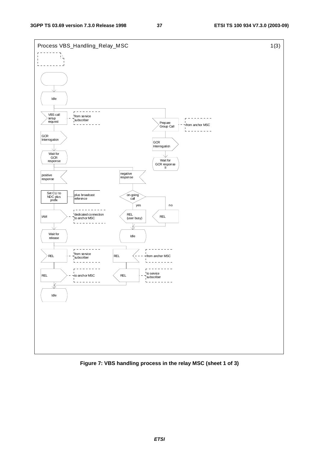

**Figure 7: VBS handling process in the relay MSC (sheet 1 of 3)**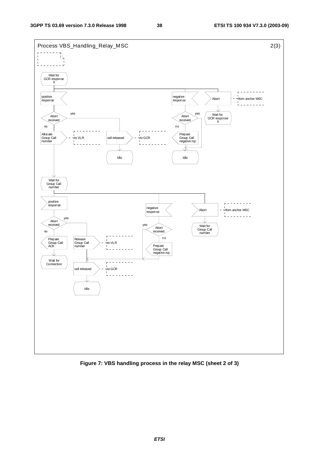

**Figure 7: VBS handling process in the relay MSC (sheet 2 of 3)**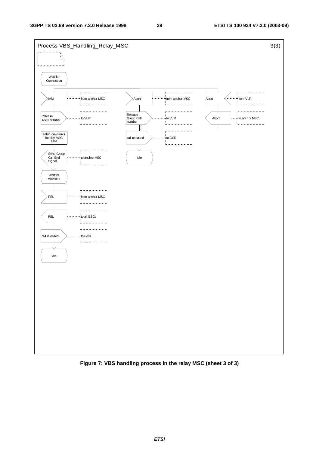

**Figure 7: VBS handling process in the relay MSC (sheet 3 of 3)**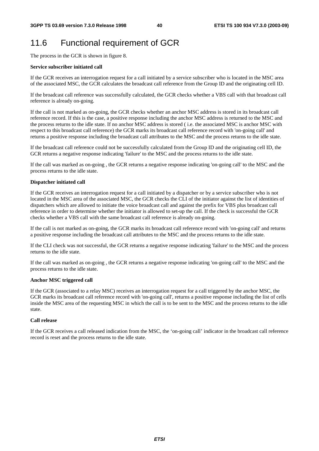## 11.6 Functional requirement of GCR

The process in the GCR is shown in figure 8.

#### **Service subscriber initiated call**

If the GCR receives an interrogation request for a call initiated by a service subscriber who is located in the MSC area of the associated MSC, the GCR calculates the broadcast call reference from the Group ID and the originating cell ID.

If the broadcast call reference was successfully calculated, the GCR checks whether a VBS call with that broadcast call reference is already on-going.

If the call is not marked as on-going, the GCR checks whether an anchor MSC address is stored in its broadcast call reference record. If this is the case, a positive response including the anchor MSC address is returned to the MSC and the process returns to the idle state. If no anchor MSC address is stored ( i.e. the associated MSC is anchor MSC with respect to this broadcast call reference) the GCR marks its broadcast call reference record with 'on-going call' and returns a positive response including the broadcast call attributes to the MSC and the process returns to the idle state.

If the broadcast call reference could not be successfully calculated from the Group ID and the originating cell ID, the GCR returns a negative response indicating 'failure' to the MSC and the process returns to the idle state.

If the call was marked as on-going , the GCR returns a negative response indicating 'on-going call' to the MSC and the process returns to the idle state.

#### **Dispatcher initiated call**

If the GCR receives an interrogation request for a call initiated by a dispatcher or by a service subscriber who is not located in the MSC area of the associated MSC, the GCR checks the CLI of the initiator against the list of identities of dispatchers which are allowed to initiate the voice broadcast call and against the prefix for VBS plus broadcast call reference in order to determine whether the initiator is allowed to set-up the call. If the check is successful the GCR checks whether a VBS call with the same broadcast call reference is already on-going.

If the call is not marked as on-going, the GCR marks its broadcast call reference record with 'on-going call' and returns a positive response including the broadcast call attributes to the MSC and the process returns to the idle state.

If the CLI check was not successful, the GCR returns a negative response indicating 'failure' to the MSC and the process returns to the idle state.

If the call was marked as on-going , the GCR returns a negative response indicating 'on-going call' to the MSC and the process returns to the idle state.

#### **Anchor MSC triggered call**

If the GCR (associated to a relay MSC) receives an interrogation request for a call triggered by the anchor MSC, the GCR marks its broadcast call reference record with 'on-going call', returns a positive response including the list of cells inside the MSC area of the requesting MSC in which the call is to be sent to the MSC and the process returns to the idle state.

#### **Call release**

If the GCR receives a call released indication from the MSC, the 'on-going call' indicator in the broadcast call reference record is reset and the process returns to the idle state.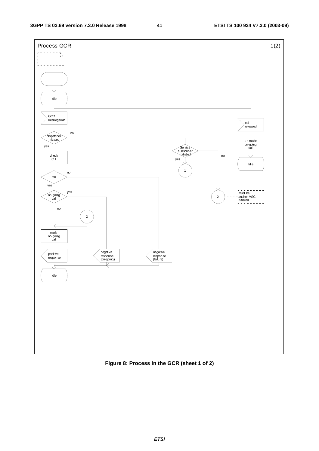

### **Figure 8: Process in the GCR (sheet 1 of 2)**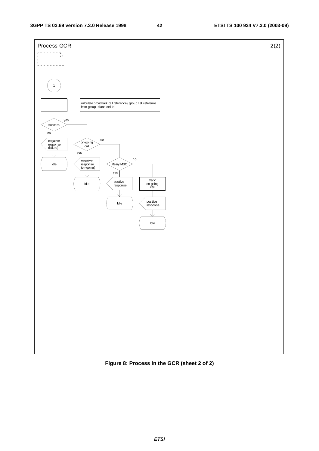

**Figure 8: Process in the GCR (sheet 2 of 2)**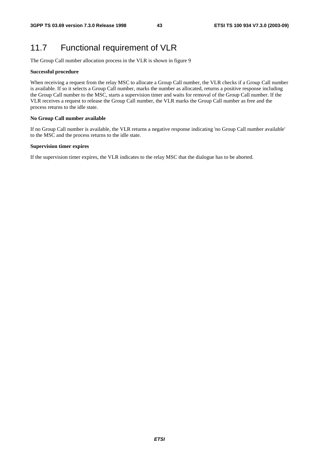## 11.7 Functional requirement of VLR

The Group Call number allocation process in the VLR is shown in figure 9

#### **Successful procedure**

When receiving a request from the relay MSC to allocate a Group Call number, the VLR checks if a Group Call number is available. If so it selects a Group Call number, marks the number as allocated, returns a positive response including the Group Call number to the MSC, starts a supervision timer and waits for removal of the Group Call number. If the VLR receives a request to release the Group Call number, the VLR marks the Group Call number as free and the process returns to the idle state.

#### **No Group Call number available**

If no Group Call number is available, the VLR returns a negative response indicating 'no Group Call number available' to the MSC and the process returns to the idle state.

#### **Supervision timer expires**

If the supervision timer expires, the VLR indicates to the relay MSC that the dialogue has to be aborted.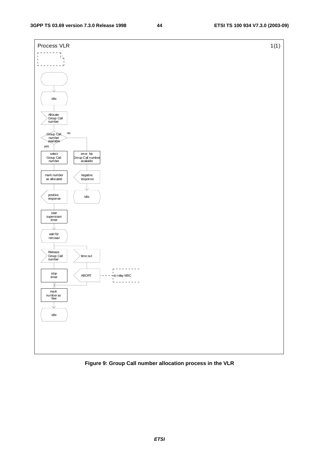

### **Figure 9: Group Call number allocation process in the VLR**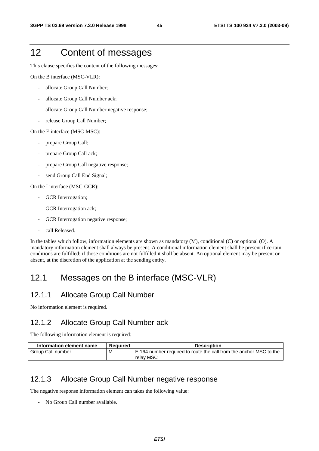## 12 Content of messages

This clause specifies the content of the following messages:

On the B interface (MSC-VLR):

- allocate Group Call Number;
- allocate Group Call Number ack;
- allocate Group Call Number negative response;
- release Group Call Number;

On the E interface (MSC-MSC):

- prepare Group Call;
- prepare Group Call ack;
- prepare Group Call negative response;
- send Group Call End Signal;

On the I interface (MSC-GCR):

- GCR Interrogation;
- GCR Interrogation ack;
- GCR Interrogation negative response;
- call Released.

In the tables which follow, information elements are shown as mandatory (M), conditional (C) or optional (O). A mandatory information element shall always be present. A conditional information element shall be present if certain conditions are fulfilled; if those conditions are not fulfilled it shall be absent. An optional element may be present or absent, at the discretion of the application at the sending entity.

## 12.1 Messages on the B interface (MSC-VLR)

### 12.1.1 Allocate Group Call Number

No information element is required.

### 12.1.2 Allocate Group Call Number ack

The following information element is required:

| Information element name | Reauired | <b>Description</b>                                                              |
|--------------------------|----------|---------------------------------------------------------------------------------|
| Group Call number        | м        | E.164 number required to route the call from the anchor MSC to the<br>relav MSC |

### 12.1.3 Allocate Group Call Number negative response

The negative response information element can takes the following value:

- No Group Call number available.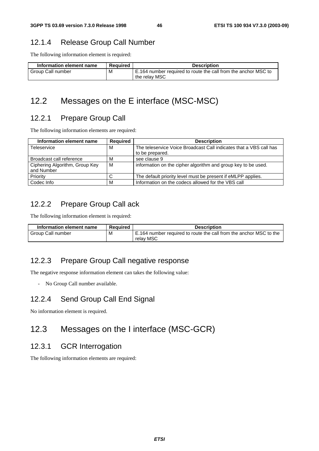## 12.1.4 Release Group Call Number

The following information element is required:

| Information element name | Reauired | <b>Description</b>                                             |
|--------------------------|----------|----------------------------------------------------------------|
| M                        |          | E.164 number required to route the call from the anchor MSC to |
| Group Call number        |          | the relay MSC                                                  |

## 12.2 Messages on the E interface (MSC-MSC)

## 12.2.1 Prepare Group Call

The following information elements are required:

| Information element name                     | <b>Required</b> | <b>Description</b>                                                                    |
|----------------------------------------------|-----------------|---------------------------------------------------------------------------------------|
| Teleservice                                  | M               | The teleservice Voice Broadcast Call indicates that a VBS call has<br>to be prepared. |
| Broadcast call reference                     | м               | see clause 9                                                                          |
| Ciphering Algorithm, Group Key<br>and Number | M               | information on the cipher algorithm and group key to be used.                         |
| Priority                                     | С               | The default priority level must be present if eMLPP applies.                          |
| Codec Info                                   | M               | Information on the codecs allowed for the VBS call                                    |

## 12.2.2 Prepare Group Call ack

The following information element is required:

| Information element name | Reauired | <b>Description</b>                                                 |
|--------------------------|----------|--------------------------------------------------------------------|
| Group Call number        | M        | E.164 number required to route the call from the anchor MSC to the |
|                          |          | relav MSC                                                          |

## 12.2.3 Prepare Group Call negative response

The negative response information element can takes the following value:

- No Group Call number available.

## 12.2.4 Send Group Call End Signal

No information element is required.

## 12.3 Messages on the I interface (MSC-GCR)

### 12.3.1 GCR Interrogation

The following information elements are required: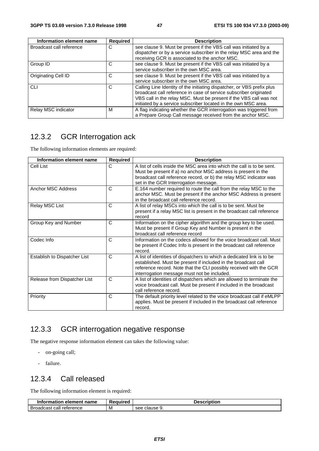| Information element name | <b>Required</b> | <b>Description</b>                                                                                                                      |
|--------------------------|-----------------|-----------------------------------------------------------------------------------------------------------------------------------------|
| Broadcast call reference | C               | see clause 9. Must be present if the VBS call was initiated by a<br>dispatcher or by a service subscriber in the relay MSC area and the |
|                          |                 | receiving GCR is associated to the anchor MSC.                                                                                          |
| Group ID                 | C               | see clause 9. Must be present if the VBS call was initiated by a                                                                        |
|                          |                 | service subscriber in the own MSC area.                                                                                                 |
| Originating Cell ID      | C               | see clause 9. Must be present if the VBS call was initiated by a                                                                        |
|                          |                 | service subscriber in the own MSC area.                                                                                                 |
| <b>CLI</b>               | C               | Calling Line Identity of the initiating dispatcher, or VBS prefix plus                                                                  |
|                          |                 | broadcast call reference in case of service subscriber originated                                                                       |
|                          |                 | VBS call in the relay MSC. Must be present if the VBS call was not                                                                      |
|                          |                 | initiated by a service subscriber located in the own MSC area.                                                                          |
| Relay MSC indicator      | м               | A flag indicating whether the GCR interrogation was triggered from                                                                      |
|                          |                 | a Prepare Group Call message received from the anchor MSC.                                                                              |

## 12.3.2 GCR Interrogation ack

The following information elements are required:

| <b>Information element name</b> | Required     | <b>Description</b>                                                                                                                                                                                                                                            |
|---------------------------------|--------------|---------------------------------------------------------------------------------------------------------------------------------------------------------------------------------------------------------------------------------------------------------------|
| Cell List                       | C            | A list of cells inside the MSC area into which the call is to be sent.<br>Must be present if a) no anchor MSC address is present in the<br>broadcast call reference record, or b) the relay MSC indicator was<br>set in the GCR Interrogation message.        |
| Anchor MSC Address              | C            | E.164 number required to route the call from the relay MSC to the<br>anchor MSC. Must be present if the anchor MSC Address is present<br>in the broadcast call reference record.                                                                              |
| Relay MSC List                  | C            | A list of relay MSCs into which the call is to be sent. Must be<br>present if a relay MSC list is present in the broadcast call reference<br>record                                                                                                           |
| Group Key and Number            | $\mathsf{C}$ | Information on the cipher algorithm and the group key to be used.<br>Must be present if Group Key and Number is present in the<br>broadcast call reference record                                                                                             |
| Codec Info                      | C            | Information on the codecs allowed for the voice broadcast call. Must<br>be present if Codec Info is present in the broadcast call reference<br>record.                                                                                                        |
| Establish to Dispatcher List    | C            | A list of identities of dispatchers to which a dedicated link is to be<br>established. Must be present if included in the broadcast call<br>reference record. Note that the CLI possibly received with the GCR<br>interrogation message must not be included. |
| Release from Dispatcher List    | C            | A list of identities of dispatchers which are allowed to terminate the<br>voice broadcast call. Must be present if included in the broadcast<br>call reference record.                                                                                        |
| Priority                        | C            | The default priority level related to the voice broadcast call if eMLPP<br>applies. Must be present if included in the broadcast call reference<br>record.                                                                                                    |

## 12.3.3 GCR interrogation negative response

The negative response information element can takes the following value:

- on-going call;
- failure.

## 12.3.4 Call released

The following information element is required:

| Information<br>ı element name | Reauired | <b>Description</b> |
|-------------------------------|----------|--------------------|
| Broadcast call reference      | M        | clause 9.<br>see   |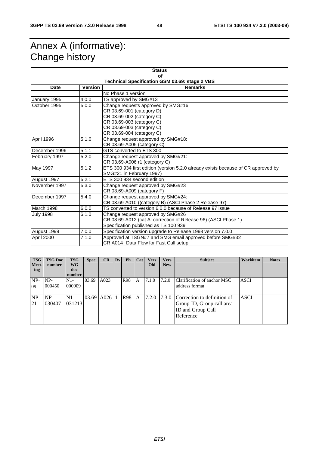## Annex A (informative): Change history

| <b>Status</b>                                         |                                  |                                                                                   |  |  |  |  |  |  |
|-------------------------------------------------------|----------------------------------|-----------------------------------------------------------------------------------|--|--|--|--|--|--|
| of                                                    |                                  |                                                                                   |  |  |  |  |  |  |
| <b>Technical Specification GSM 03.69: stage 2 VBS</b> |                                  |                                                                                   |  |  |  |  |  |  |
| <b>Date</b>                                           | <b>Version</b><br><b>Remarks</b> |                                                                                   |  |  |  |  |  |  |
|                                                       |                                  | No Phase 1 version                                                                |  |  |  |  |  |  |
| January 1995                                          | 4.0.0                            | TS approved by SMG#13                                                             |  |  |  |  |  |  |
| October 1995                                          | $\overline{5.0.0}$               | Change requests approved by SMG#16:                                               |  |  |  |  |  |  |
|                                                       |                                  | CR 03.69-001 (category D)                                                         |  |  |  |  |  |  |
|                                                       |                                  | CR 03.69-002 (category C)                                                         |  |  |  |  |  |  |
|                                                       |                                  | CR 03.69-003 (category C)                                                         |  |  |  |  |  |  |
|                                                       |                                  | CR 03.69-003 (category C)                                                         |  |  |  |  |  |  |
|                                                       |                                  | CR 03.69-004 (category C)                                                         |  |  |  |  |  |  |
| April 1996                                            | 5.1.0                            | Change request approved by SMG#18:                                                |  |  |  |  |  |  |
|                                                       |                                  | CR 03.69-A005 (category C)                                                        |  |  |  |  |  |  |
| December 1996                                         | 5.1.1                            | GTS converted to ETS 300                                                          |  |  |  |  |  |  |
| February 1997                                         | 5.2.0                            | Change request approved by SMG#21:                                                |  |  |  |  |  |  |
|                                                       |                                  | CR 03.69-A006 r1 (category C)                                                     |  |  |  |  |  |  |
| May 1997                                              | 5.1.2                            | ETS 300 934 first edition (version 5.2.0 already exists because of CR approved by |  |  |  |  |  |  |
|                                                       |                                  | SMG#21 in February 1997)                                                          |  |  |  |  |  |  |
| August 1997                                           | 5.2.1                            | ETS 300 934 second edition                                                        |  |  |  |  |  |  |
| November 1997                                         | 5.3.0                            | Change request approved by SMG#23                                                 |  |  |  |  |  |  |
|                                                       |                                  | CR 03.69-A009 (category F)                                                        |  |  |  |  |  |  |
| December 1997                                         | 5.4.0                            | Change request approved by SMG#24:                                                |  |  |  |  |  |  |
|                                                       |                                  | CR 03.69-A010 ((category B) (ASCI Phase 2 Release 97)                             |  |  |  |  |  |  |
| March 1998                                            | 6.0.0                            | TS converted to version 6.0.0 because of Release 97 issue                         |  |  |  |  |  |  |
| <b>July 1998</b>                                      | 6.1.0                            | Change request approved by SMG#26                                                 |  |  |  |  |  |  |
|                                                       |                                  | CR 03.69-A012 (cat A: correction of Release 96) (ASCI Phase 1)                    |  |  |  |  |  |  |
|                                                       |                                  | Specification published as TS 100 939                                             |  |  |  |  |  |  |
| August 1999                                           | 7.0.0                            | Specification version upgrade to Release 1998 version 7.0.0                       |  |  |  |  |  |  |
| April 2000                                            | 7.1.0                            | Approved at TSGN#7 and SMG email approved before SMG#32                           |  |  |  |  |  |  |
|                                                       |                                  | CR A014 Data Flow for Fast Call setup                                             |  |  |  |  |  |  |

| <b>TSG</b><br>Meet-<br>ing | <b>TSG Doc</b><br>number | <b>TSG</b><br>WG<br>doc<br>number | <b>Spec</b> | CR         | Rv | <b>Ph</b>  | Cat            | <b>Vers</b><br>Old | <b>Vers</b><br><b>New</b> | <b>Subject</b>                                                                             | Workitem    | <b>Notes</b> |
|----------------------------|--------------------------|-----------------------------------|-------------|------------|----|------------|----------------|--------------------|---------------------------|--------------------------------------------------------------------------------------------|-------------|--------------|
| NP-<br>09                  | $NP-$<br>000450          | $N1-$<br>000909                   | 03.69       | A023       |    | <b>R98</b> | ΙA             | 7.1.0              | 7.2.0                     | Clarification of anchor MSC<br>address format                                              | <b>ASCI</b> |              |
| $NP-$<br>21                | $NP-$<br>030407          | $N1-$<br>031213                   |             | 03.69 A026 |    | <b>R98</b> | $\overline{A}$ | 7.2.0 7.3.0        |                           | Correction to definition of<br>Group-ID, Group call area<br>ID and Group Call<br>Reference | <b>ASCI</b> |              |